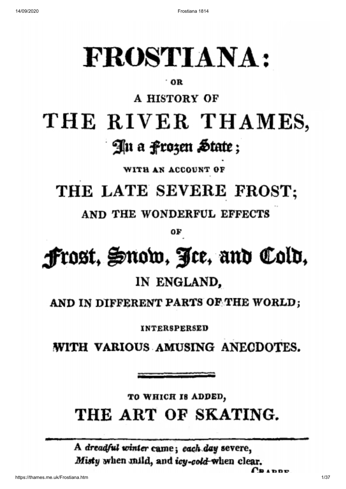# **FROSTIANA:**

# $^{\circ}$  OR

# A HISTORY OF

# THE RIVER THAMES, In a <u>Prozen</u> State;

WITH AN ACCOUNT OF

# THE LATE SEVERE FROST:

AND THE WONDERFUL EFFECTS

ΩF

# Frost, Snow, Jce, and Cold, IN ENGLAND.

AND IN DIFFERENT PARTS OF THE WORLD;

INTERSPERSED

WITH VARIOUS AMUSING ANECDOTES.

# TO WHICH IS ADDED, THE ART OF SKATING.

A dreadful winter came; each day severe, Misty when mild, and icy-cold-when clear.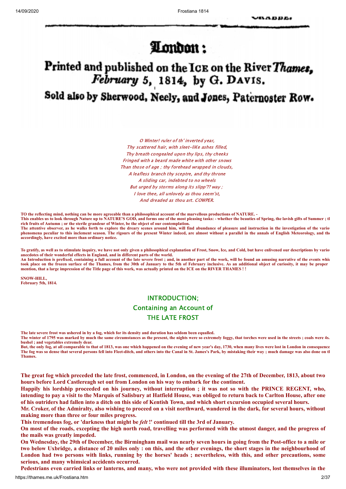# **London:**

# Printed and published on the ICE on the River Thames, February 5, 1814, by G. DAVIS.

# Sold also by Sherwood, Neely, and Jones, Paternoster Row.

O Winter! ruler of th' inverted year, Thy scattered hair, with sleet-liKe ashes filled, Thy breath congealed upon thy lips, thy cheeks Fringed with a beard made white with other snows Than those of age ; thy forehead wrapped in clouds, A leafless branch thy sceptre, and thy throne A sliding car, indebted to no wheels But urged by storms along its slipp'?? way ; I love thee, all unlovely as thou seem'st, And dreaded as thou art. COWPER.

**TO the reflecting mind, nothing can be more agreeable than a philosophical account of the marvellous productions of NATURE. -**

**This enables us to look through Nature up to NATURE'S GOD, and forms one of the most pleasing tasks: - whether the beauties of Spring, the lavish gifts of Summer ; th rich fruits of Autumn ; or the sterile grandeur of Winter, be the object of our contemplation.**

The attentive observer, as he walks forth to explore the dreary scenes around him, will find abundance of pleasure and instruction in the investigation of the vario **phenomena peculiar to this inclement season. The rigours of the present Winter indeed, are almost without a parallel in the annals of English Meteorology, and the accordingly, have excited more than ordinary notice.**

**To gratify, as well as to stimulate inquiry, we have not only given a philosophical explanation of Frost, Snow, Ice, and Cold, but have enlivened our descriptions by variou anecdotes of their wonderful effects in England, and in different parts of the world. An Introduction is prefixed, containing a full account of the late severe frost ; and, in another part of the work, will be found an amusing narrative of the events whic took place on the frozen surface of the Thames, from the 30th of January to the 5th of February inclusive. As an additional object of curiosity, it may be proper mention, that a large impression of the Title page of this work, was actually printed on the ICE on the RIVER THAMES ! !**

**SNOW-HILL, February 5th, 1814.**

# INTRODUCTION; Containing an Account of THE LATE FROST

**The late severe frost was ushered in by a fog, which for its density and duration has seldom been equalled.**

**The winter of 1795 was marked by much the same circumstances as the present, the nights were so extremely foggy, that torches were used in the streets ; coals were 4s. bushel ; and vegetables extremely dear.**

**But, the only fog, at all comparable to that of 1813, was one which happened on the evening of new year's day, 1730, when many lives were lost in London in consequence The fog was so dense that several persons fell into Fleet-ditch, and others into the Canal in St. James's Park, by mistaking their way ; much damage was also done on th Thames.**

The great fog which preceded the late frost, commenced, in London, on the evening of the 27th of December, 1813, about two **hours before Lord Castlereagh set out from London on his way to embark for the continent.**

Happily his lordship proceeded on his journey, without interruption; it was not so with the PRINCE REGENT, who, intending to pay a visit to the Marquis of Salisbury at Hatfield House, was obliged to return back to Carlton House, after one of his outriders had fallen into a ditch on this side of Kentish Town, and which short excursion occupied several hours.

Mr. Croker, of the Admiralty, also wishing to proceed on a visit northward, wandered in the dark, for several hours, without **making more than three or four miles progress.**

**This tremendous fog, or 'darkness that might be** *felt* **!' continued till the 3rd of January.**

On most of the roads, excepting the high north road, travelling was performed with the utmost danger, and the progress of **the mails was greatly impeded.**

On Wednesday, the 29th of December, the Birmingham mail was nearly seven hours in going from the Post-office to a mile or two below Uxbridge, a distance of 20 miles only : on this, and the other evenings, the short stages in the neighbourhood of London had two persons with links, running by the horses' heads; nevertheless, with this, and other precautions, some **serious, and many whimsical accidents occurred.**

Pedestrians even carried links or lanterns, and many, who were not provided with these illuminators, lost themselves in the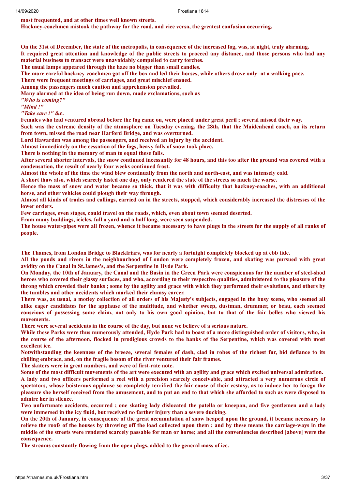**most frequented, and at other times well known streets.**

**Hackney-coachmen mistook the pathway for the road, and vice versa, the greatest confusion occurring.**

On the 31st of December, the state of the metropolis, in consequence of the increased fog, was, at night, truly alarming. It required great attention and knowledge of the public streets to proceed any distance, and those persons who had any **material business to transact were unavoidably compelled to carry torches.**

**The usual lamps appeared through the haze no bigger than small candles.**

The more careful hackney-coachmen got off the box and led their horses, while others drove only -at a walking pace.

**There were frequent meetings of carriages, and great mischief ensued.**

**Among the passengers much caution and apprehension prevailed.**

**Many alarmed at the idea of being run down, made exclamations, such as**

*"Who is coming?"*

*"Mind !"*

*"Take care !"* **&c.**

Females who had ventured abroad before the fog came on, were placed under great peril ; several missed their way.

Such was the extreme density of the atmosphere on Tuesday evening, the 28th, that the Maidenhead coach, on its return **from town, missed the road near Harford Bridge, and was overturned.**

**Lord Hawarden was among the passengers, and received an injury by the accident.**

**Almost immediately on the cessation of the fogs, heavy falls of snow took place.**

**There is nothing in the memory of man to equal these falls.**

After several shorter intervals, the snow continued incessantly for 48 hours, and this too after the ground was covered with a **condensation, the result of nearly four weeks continued frost.**

Almost the whole of the time the wind blew continually from the north and north-east, and was intensely cold.

A short thaw also, which scarcely lasted one day, only rendered the state of the streets so much the worse.

Hence the mass of snow and water became so thick, that it was with difficulty that hackney-coaches, with an additional **horse, and other vehicles could plough their way through.**

Almost all kinds of trades and callings, carried on in the streets, stopped, which considerably increased the distresses of the **lower orders.**

**Few carriages, even stages, could travel on the roads, which, even about town seemed deserted.**

**From many buildings, icicles, full a yard and a half long, were seen suspended.**

The house water-pipes were all frozen, whence it became necessary to have plugs in the streets for the supply of all ranks of **people.**

The Thames, from London Bridge to Blackfriars, was for nearly a fortnight completely blocked up at ebb tide.

All the ponds and rivers in the neighbourhood of London were completely frozen, and skating was pursued with great **avidity on the Canal in St.James's, and the Serpentine in Hyde Park.**

On Monday, the 10th of January, the Canal and the Basin in the Green Park were conspicuous for the number of steel-shod heroes who covered their glassy surfaces, and who, according to their respective qualities, administered to the pleasure of the throng which crowded their banks; some by the agility and grace with which they performed their evolutions, and others by **the tumbles and other accidents which marked their clumsy career.**

There was, as usual, a motley collection of all orders of his Majesty's subjects, engaged in the busy scene, who seemed all alike eager candidates for the applause of the multitude, and whether sweep, dustman, drummer, or beau, each seemed conscious of possessing some claim, not only to his own good opinion, but to that of the fair belles who viewed his **movements.**

**There were several accidents in the course of the day, but none we believe of a serious nature.**

While these Parks were thus numerously attended, Hyde Park had to boast of a more distinguished order of visitors, who, in the course of the afternoon, flocked in prodigious crowds to the banks of the Serpentine, which was covered with most **excellent ice.**

Notwithstanding the keenness of the breeze, several females of dash, clad in robes of the richest fur, bid defiance to its **chilling embrace, and, on the fragile bosom of the river ventured their fair frames.**

**The skaters were in great numbers, and were of first-rate note.**

Some of the most difficult movements of the art were executed with an agility and grace which excited universal admiration.

A lady and two officers performed a reel with a precision scarcely conceivable, and attracted a very numerous circle of spectators, whose boisterous applause so completely terrified the fair cause of their ecstasy, as to induce her to forego the pleasure she herself received from the amusement, and to put an end to that which she afforded to such as were disposed to **admire her in silence.**

Two unfortunate accidents, occurred; one skating lady dislocated the patella or kneepan, and five gentlemen and a lady **were immersed in the icy fluid, but received no farther injury than a severe ducking.**

On the 20th of January, in consequence of the great accumulation of snow heaped upon the ground, it became necessary to relieve the roofs of the houses by throwing off the load collected upon them : and by these means the carriage-ways in the middle of the streets were rendered scarcely passable for man or horse; and all the conveniencies described [above] were the **consequence.**

**The streams constantly flowing from the open plugs, added to the general mass of ice.**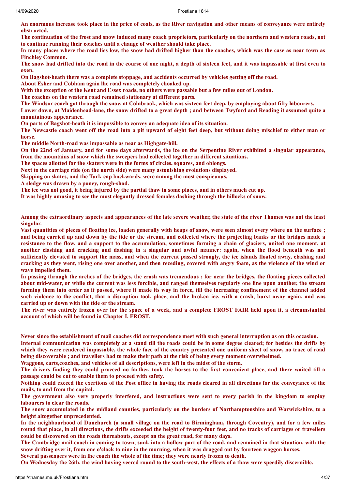An enormous increase took place in the price of coals, as the River navigation and other means of conveyance were entirely **obstructed.**

The continuation of the frost and snow induced many coach proprietors, particularly on the northern and western roads, not **to continue running their coaches until a change of weather should take place.**

In many places where the road lies low, the snow had drifted higher than the coaches, which was the case as near town as **Finchley Common.**

The snow had drifted into the road in the course of one night, a depth of sixteen feet, and it was impassable at first even to **oxen.**

**On Bagshot-heath there was a complete stoppage, and accidents occurred by vehicles getting off the road.**

**About Esher and Cobham again lhe road was completely choaked up.**

With the exception ot the Kent and Essex roads, no others were passable but a few miles out of London.

**The coaches on the western road remained stationary at different parts.**

The Windsor coach got through the snow at Colnbrook, which was sixteen feet deep, by employing about fifty labourers.

Lower down, at Maidenhead-lane, the snow drifted to a great depth; and between Twyford and Reading it assumed quite a **mountainous appearance.**

**On parts of Bagshot-heath it is impossible to convey an adequate idea of its situation.**

The Newcastle coach went off the road into a pit upward of eight feet deep, but without doing mischief to either man or **horse.**

**The middle North-road was impassable as near as Highgate-hill.**

On the 22nd of January, and for some days afterwards, the ice on the Serpentine River exhibited a singular appearance, **from the mountains of snow which the sweepers had collected together in different situations.**

**The spaces allotted for the skaters were in the forms of circles, squares, and oblongs.**

**Next to the carriage ride (on the north side) were many astonishing evolutions displayed.**

**Skipping on skates, and the Turk-cap backwards, were among the most conspicuous.**

**A sledge was drawn by a poney, rough-shod.**

The ice was not good, it being injured by the partial thaw in some places, and in others much cut up.

**It was highly amusing to see the most elegantly dressed females dashing through the hillocks of snow.**

Among the extraordinary aspects and appearances of the late severe weather, the state of the river Thames was not the least **singular.**

Vast quantities of pieces of floating ice, loaden generally with heaps of snow, were seen almost every where on the surface; and being carried up and down by the tide or the stream, and collected where the projecting banks or the bridges made a resistance to the flow, and a support to the accumulation, sometimes forming a chain of glaciers, united one moment, at another clashing and cracking and dashing in a singular and awful manner: again, when the flood beneath was not sufficiently elevated to support the mass, and when the current passed strongly, the ice islands floated away, clashing and cracking as they went, rising one over another, and then receding, covered with angry foam, as the violence of the wind or **wave impelled them.**

In passing through the arches of the bridges, the crash was tremendous : for near the bridges, the floating pieces collected about mid-water, or while the current was less forcible, and ranged themselves regularly one line upon another, the stream forming them into order as it passed, where it made its way in force, till the increasing confinement of the channel added such violence to the conflict, that a disruption took place, and the broken ice, with a crash, burst away again, and was **carried up or down with the tide or the stream.**

The river was entirely frozen over for the space of a week, and a complete FROST FAIR held upon it, a circumstantial **account of which will be found in Chapter I. FROST.**

Never since the establishment of mail coaches did correspondence meet with such general interruption as on this occasion.

Internal communication was completely at a stand till the roads could be in some degree cleared; for besides the drifts by which they were rendered impassable, the whole face of the country presented one uniform sheet of snow, no trace of road being discoverable; and travellers had to make their path at the risk of being every moment overwhelmed.

**Waggons, carts,coaches, and vehicles of all descriptions, were left in the midst of the storm.**

The drivers finding they could proceed no farther, took the horses to the first convenient place, and there waited till a **passage could be cut to enable them to proceed with safety.**

Nothing could exceed the exertions of the Post office in having the roads cleared in all directions for the conveyance of the **mails, to and from the capital.**

The government also very properly interfered, and instructions were sent to every parish in the kingdom to employ **labourers to clear the roads.**

The snow accumulated in the midland counties, particularly on the borders of Northamptonshire and Warwickshire, to a **height altogether unprecedented.**

In the neighbourhood of Dunchurch (a small village on the road to Birmingham, through Coventry), and for a few miles round that place, in all directions, the drifts exceeded the height of twenty-four feet, and no tracks of carriages or travellers **could be discovered on the roads thereabouts, except on the great road, for many days.**

The Cambridge mail-coach in coming to town, sunk into a hollow part of the road, and remained in that situation, with the snow drifting over it, from one o'clock to nine in the morning, when it was dragged out by fourteen waggon horses.

**Several passengers were in lhe coach the whole of the time; they were nearly frozen to death.**

On Wednesday the 26th, the wind having veered round to the south-west, the effects of a thaw were speedily discernible.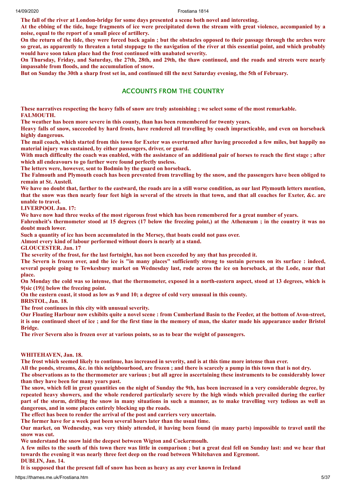**The fall of the river at London-bridge for some days presented a scene both novel and interesting.**

At the ebbing of the tide, huge fragments of ice were precipitated down the stream with great violence, accompanied by a **noise, equal to the report of a small piece of artillery.**

On the return of the tide, they were forced back again; but the obstacles opposed to their passage through the arches were so great, as apparently to threaten a total stoppage to the navigation of the river at this essential point, and which probably **would have soon taken place had the frost continued with unabated severity.**

On Thursday, Friday, and Saturday, the 27th, 28th, and 29th, the thaw continued, and the roads and streets were nearly **impassable from floods, and the accumulation of snow.**

But on Sunday the 30th a sharp frost set in, and continued till the next Saturday evening, the 5th of February.

# ACCOUNTS FROM THE COUNTRY

These narratives respecting the heavy falls of snow are truly astonishing; we select some of the most remarkable. **FALMOUTH.**

**The weather has been more severe in this county, than has been remembered for twenty years.**

Heavy falls of snow, succeeded by hard frosts, have rendered all travelling by coach impracticable, and even on horseback **highly dangerous.**

The mail coach, which started from this town for Exeter was overturned after having proceeded a few miles, but happily no **material injury was sustained, by either passengers, driver, or guard.**

With much difficulty the coach was enabled, with the assistance of an additional pair of horses to reach the first stage; after **which all endeavours to go farther were found perfectly useless.**

**The letters were, however, sent to Bodmin by the guard on horseback.**

The Falmouth and Plymouth coach has been prevented from travelling by the snow, and the passengers have been obliged to **remain at St. Austell.**

We have no doubt that, farther to the eastward, the roads are in a still worse condition, as our last Plymouth letters mention, that the snow was then nearly four feet high in several of the streets in that town, and that all coaches for Exeter, &c. are **unable to travel.**

**LIVERPOOL Jan. 17:**

We have now had three weeks of the most rigorous frost which has been remembered for a great number of vears.

Fahrenheit's thermometer stood at 15 degrees (17 below the freezing point,) at the Athenaeum; in the country it was no **doubt much lower.**

**Such a quantity of ice has been accumulated in the Mersey, that boats could not pass over.**

**Almost every kind of labour performed without doors is nearly at a stand.**

**GLOUCESTER. Jan. 17**

The severity of the frost, for the last fortnight, has not been exceeded by any that has preceded it.

The Severn is frozen over, and the ice is "in many places" sufficiently strong to sustain persons on its surface : indeed, several people going to Tewkesbury market on Wednesday last, rode across the ice on horseback, at the Lode, near that **place.**

On Monday the cold was so intense, that the thermometer, exposed in a north-eastern aspect, stood at 13 degrees, which is **9[sic (19)] below the freezing point.**

On the eastern coast, it stood as low as 9 and 10; a degree of cold very unusual in this county.

**BRISTOL, Jan. 18.**

**The frost continues in this city with unusual severity.**

Our Floating Harbour now exhibits quite a novel scene: from Cumberland Basin to the Feeder, at the bottom of Avon-street, it is one continued sheet of ice; and for the first time in the memory of man, the skater made his appearance under Bristol **Bridge.**

**The river Severn also is frozen over at various points, so as to bear the weight of passengers.**

#### **WHITEHAVEN, Jan. 18.**

The frost which seemed likely to continue, has increased in severity, and is at this time more intense than ever.

All the ponds, streams, &c. in this neighbourhood, are frozen; and there is scarcely a pump in this town that is not dry.

The observations as to the thermometer are various; but all agree in ascertaining these instruments to be considerably lower **than they have been for many years past.**

The snow, which fell in great quantities on the night of Sunday the 9th, has been increased in a very considerable degree, by repeated heavy showers, and the whole rendered particularly severe by the high winds which prevailed during the earlier part of the storm, drifting the snow in many situations in such a manner, as to make travelling very tedious as well as **dangerous, and in some places entirely blocking up the roads.**

**The effect has been to render the arrival of the post and carriers very uncertain.**

**The former have for a week past been several hours later than the usual time.**

Our market, on Wednesday, was very thinly attended, it having been found (in many parts) impossible to travel until the **snow was cut.**

**We understand the snow laid the deepest between Wigton and Cockermoulh.**

A few miles to the south of this town there was little in comparison; but a great deal fell on Sunday last: and we hear that **towards the evening it was nearly three feet deep on the road between Whitehaven and Egremont. DUBLIN, Jan. 14.**

**It is supposed that the present fall of snow has been as heavy as any ever known in Ireland**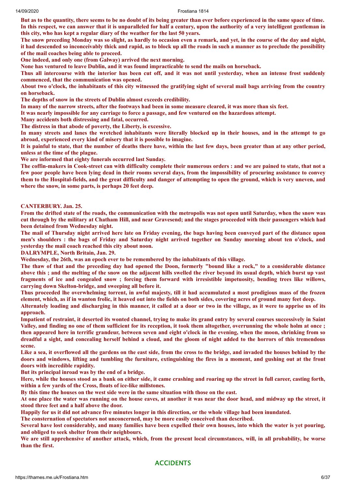But as to the quantity, there seems to be no doubt of its being greater than ever before experienced in the same space of time. In this respect, we can answer that it is unparalleled for half a century, upon the authority of a very intelligent gentleman in **this city, who has kept a regular diary of the weather for the last 50 years.**

The snow preceding Monday was so slight, as hardly to occasion even a remark, and yet, in the course of the day and night, it had descended so inconceivably thick and rapid, as to block up all the roads in such a manner as to preclude the possibility **of the mail coaches being able to proceed.**

**One indeed, and only one (from Galway) arrived the next morning.**

**None has ventured to leave Dublin, and it was found impracticable to send the mails on horseback.**

Thus all intercourse with the interior has been cut off, and it was not until yesterday, when an intense frost suddenly **commenced, that the communication was opened.**

About two o'clock, the inhabitants of this city witnessed the gratifying sight of several mail bags arriving from the country **on horseback.**

**The depths of snow in the streets of Dublin almost exceeds credibility.**

In many of the narrow streets, after the footways had been in some measure cleared, it was more than six feet.

It was nearly impossible for any carriage to force a passage, and few ventured on the hazardous attempt.

**Many accidents both distressing and fatal, occurred.**

**The distress in that abode of poverty, the Liberty, is excessive.**

In many streets and lanes the wretched inhabitants were literally blocked up in their houses, and in the attempt to go **abroad, experienced every kind of misery that it is possible to imagine.**

It is painful to state, that the number of deaths there have, within the last few days, been greater than at any other period, **unless at the time of the plague.**

**We are informed that eighty funerals occurred last Sunday.**

The coffin-makers in Cook-street can with difficulty complete their numerous orders : and we are pained to state, that not a few poor people have been lying dead in their rooms several days, from the impossibility of procuring assistance to convey them to the Hospital-fields, and the great difficulty and danger of attempting to open the ground, which is very uneven, and **where the snow, in some parts, is perhaps 20 feet deep.**

**CANTERBURY. Jan. 25.**

From the drifted state of the roads, the communication with the metropolis was not open until Saturday, when the snow was cut through by the military at Chatham Hill, and near Gravesend; and the stages proceeded with their passengers which had **been detained from Wednesday night.**

The mail of Thursday night arrived here late on Friday evening, the bags having been conveyed part of the distance upon men's shoulders: the bags of Friday and Saturday night arrived together on Sunday morning about ten o'clock, and **yesterday the mail coach reached this city about noon.**

**DALRYMPLE, North Britain, Jan. 29.**

**Wednesday, the 26th, was an epoch ever to be remembered by the inhabitants of this village.**

The thaw of that and the preceding day had opened the Doon, formerly "bound like a rock," to a considerable distance above this; and the melting of the snow on the adjacent hills swelled the river beyond its usual depth, which burst up vast fragments of ice and congealed snow; forcing them forward with irresistible impetuosity, bending trees like willows, **carrying down Skelton-bridge, and sweeping all before it.**

Thus proceeded lhe overwhelming torrent, in awful majesty, till it had accumulated a most prodigious mass of the frozen element, which, as if in wanton frolic, it heaved out into the fields on both sides, covering acres of ground many feet deep.

Alternately loading and discharging in this manner, it called at a door or two in the village, as it were to apprise us of its **approach.**

Impatient of restraint, it deserted its wonted channel, trying to make its grand entry by several courses successively in Saint Valley, and finding no one of them sufficient for its reception, it took them altogether, overrunning the whole holm at once; then appeared here in terrific grandeur, between seven and eight o'clock in the evening, when the moon, shrinking from so dreadful a sight, and concealing herself behind a cloud, and the gloom of night added to the horrors of this tremendous **scene.**

Like a sea, it overflowed all the gardens on the east side, from the cross to the bridge, and invaded the houses behind by the doors and windows, lifting and tumbling the furniture, extinguishing the fires in a moment, and gushing out at the front **doors with incredible rapidity.**

**But its principal inroad was by the end of a bridge.**

Here, while the houses stood as a bank on either side, it came crashing and roaring up the street in full career, casting forth, **within a few yards of the Cross, floats of ice-like millstones.**

**By this time the houses on the west side were in the same situation with those on the east.**

At one place the water was running on the house eaves, at another it was near the door head, and midway up the street, it **stood three feet and a half above the door.**

Happily for us it did not advance five minutes longer in this direction, or the whole village had been inundated.

**The consternation of spectators not unconcerned, may be more easily conceived than described.**

Several have lost considerably, and many families have been expelled their own houses, into which the water is vet pouring, **and obliged to seek shelter from their neighbours.**

We are still apprehensive of another attack, which, from the present local circumstances, will, in all probability, be worse **than the first.**

# **ACCIDENTS**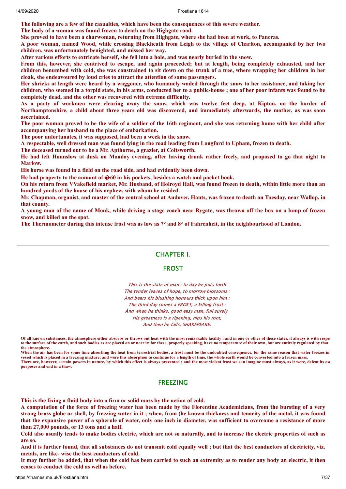**The following are a few of the casualties, which have been the consequences of this severe weather.**

**The body of a woman was found frozen to death on the Highgate road.**

She proved to have been a charwoman, returning from Highgate, where she had been at work, to Pancras.

A poor woman, named Wood, while crossing Blackheath from Leigh to the village of Charlton, accompanied by her two **children, was unfortunately benighted, and missed her way.**

After various efforts to extricate herself, she fell into a hole, and was nearly buried in the snow.

From this, however, she contrived to escape, and again proceeded; but at length, being completely exhausted, and her children benumbed with cold, she was constrained to sit down on the trunk of a tree, where wrapping her children in her **cloak, she endeavoured by loud cries to attract the attention of some passengers.**

Her shrieks at length were heard by a waggoner, who humanely waded through the snow to her assistance, and taking her children, who seemed in a torpid state, in his arms, conducted her to a public-house; one of her poor infants was found to be **completely dead, and the other was recovered with extreme difficulty.**

As a party of workmen were clearing away the snow, which was twelve feet deep, at Kipton, on the border of Northamptonshire, a child about three years old was discovered, and immediately afterwards, the mother, as was soon **ascertained.**

The poor woman proved to be the wife of a soldier of the 16th regiment, and she was returning home with her child after **accompanying her husband to the place of embarkation.**

**The poor unfortunates, it was supposed, had been a week in the snow.**

A respectable, well dressed man was found lying in the road leading from Longford to Upham, frozen to death.

**The deceased turned out to be a Mr. Apthorne, a grazier, at Coltsworth.**

He had left Hounslow at dusk on Monday evening, after having drunk rather freely, and proposed to go that night to **Marlow.**

**His horse was found in a field on the road side, and had evidently been down.**

**He had property to the amount of �60 in his pockets, besides a watch and pocket book.**

On his return from VVakefield market, Mr. Husband, of Holroyd Hall, was found frozen to death, within little more than an **hundred yards of the house of his nephew, with whom he resided.**

Mr. Chapman, organist, and master of the central school at Andover, Hants, was frozen to death on Tuesday, near Wallop, in **that county.**

A young man of the name of Monk, while driving a stage coach near Rygate, was thrown off the box on a lump of frozen **snow, and killed on the spot.**

The Thermometer during this intense frost was as low as 7° and 8° of Fahrenheit, in the neighbourhood of London.

### CHAPTER I.

# FROST

This is the state of man : to day he puts forth The tender leaves of hope, to morrow blossoms ; And bears his blushing honours thick upon him ; The third day comes a FROST, a killing frost : And when he thinks, good easy man, full surely His greatness is a ripening, nips his root, And then he falls. SHAKSPEARE.

**Of all known substances, the atmosphere either absorbs or throws out heat with the most remarkable facility : and in one or other of these states, it always is with respe to the surface of the earth, and such bodies as are placed on or near it; for these, properly speaking, have no temperature of their own, but are entirely regulated by that the atmosphere.**

When the air has been for some time absorbing the heat from terrestrial bodies, a frost must be the undoubted consequence, for the same reason that water freezes in **vessel which is placed in a freezing mixture; and were this absorption to continue for a length of time, the whole earth would be converted into a frozen mass. There are, however, certain powers in nature, by which this effect is always prevented ; and the most violent frost we can imagine must always, as it were, defeat its ow purposes and end in a thaw.**

# FREEZING

**This is the fixing a fluid body into a firm or solid mass by the action of cold.**

A computation of the force of freezing water has been made by the Florentine Academicians, from the bursting of a very strong brass globe or shell, by freezing water in it; when, from (he known thickness and tenacity of the metal, it was found that the expansive power of a spherule of water, only one inch in diameter, was sufficient to overcome a resistance of more **than 27,000 pounds, or 13 tons and a half.**

Cold also usually tends to make bodies electric, which are not so naturally, and to increase the electric properties of such as **are so.**

And it is further found, that all substances do not transmit cold equally well; but that the best conductors of electricity, viz. **metals, are like- wise the best conductors of cold.**

It may further be added, that when the cold has been carried to such an extremity as to render any body an electric, it then **ceases to conduct the cold as well as before.**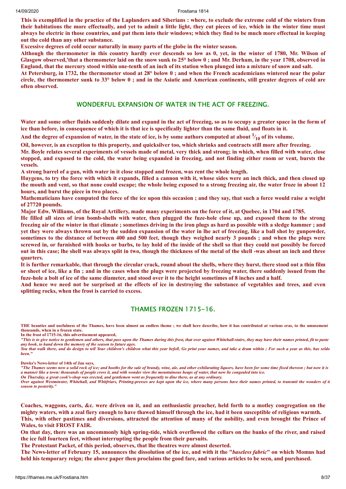This is exemplified in the practice of the Laplanders and Siberians : where, to exclude the extreme cold of the winters from their habitations the more effectually, and yet to admit a little light, they cut pieces of ice, which in the winter time must always be electric in those countries, and put them into their windows; which they find to be much more effectual in keeping **out the cold than any other substance.**

**Excessive degrees of cold occur naturally in many parts of the globe in the winter season.**

Although the thermometer in this country hardly ever descends so low as 0, yet, in the winter of 1780, Mr. Wilson of Glasgow observed, that a thermometer laid on the snow sunk to 25° below 0; and Mr. Derham, in the year 1708, observed in England, that the mercury stood within one-tenth of an inch of its station when plunged into a mixture of snow and salt.

At Petersburg, in 1732, the thermometer stood at  $28^{\circ}$  below 0; and when the French academicians wintered near the polar circle, the thermometer sunk to  $33^{\circ}$  below  $0$ ; and in the Asiatic and American continents, still greater degrees of cold are **often observed.**

## WONDERFUL EXPANSION OF WATER IN THE ACT OF FREEZING.

Water and some other fluids suddenly dilate and expand in the act of freezing, so as to occupy a greater space in the form of ice than before, in consequence of which it is that ice is specifically lighter than the same fluid, and floats in it.

And the degree of expansion of water, in the state of ice, is by some authors computed at about  $\frac{1}{10}$  of its volume.

Oil, however, is an exception to this property, and quicksilver too, which shrinks and contracts still more after freezing.

Mr. Boyle relates several experiments of vessels made of metal, very thick and strong; in which, when filled with water, close stopped, and exposed to the cold, the water being expanded in freezing, and not finding either room or vent, bursts the **vessels.**

A strong barrel of a gun, with water in it close stopped and frozen, was rent the whole length.

Huygens, to try the force with which it expands, filled a cannon with it, whose sides were an inch thick, and then closed up the mouth and vent, so that none could escape; the whole being exposed to a strong freezing air, the water froze in about 12 **hours, and burst the piece in two places.**

Mathematicians have computed the force of the ice upon this occasion; and they say, that such a force would raise a weight **of 27720 pounds.**

Major Edw. Williams, of the Royal Artillery, made many experiments on the force of it, at Quebec, in 1704 and 1785.

He filled all sizes of iron bomb-shells with water, then plugged the fuze-hole close up, and exposed them to the strong freezing air of the winter in that climate; sometimes driving in the iron plugs as hard as possible with a sledge hammer; and yet they were always thrown out by the sudden expansion of the water in lhe act of freezing, like a ball shot by gunpowder, sometimes to the distance of between 400 and 500 feet, though they weighed nearly 3 pounds; and when the plugs were screwed in, or furnished with hooks or barbs, to lay hold of the inside of the shell so that they could not possibly be forced out in this case; lhe shell was always split in two, though the thickness of the metal of the shell -was about an inch and three **quarters.**

It is further remarkable, that through the circular crack, round about the shells, where they hurst, there stood out a thin film or sheet of ice, like a fin; and in the cases when the plugs were projected by freezing water, there suddenly issued from the fuze-hole a bolt of ice of the same diameter, and stood over it to the height sometimes of 8 inches and a half.

And hence we need not be surprised at the effects of ice in destroying the substance of vegetables and trees, and even **splitting rocks, when the frost is carried to excess.**

# THAMES FROZEN 1715-16.

**THE beauties and usefulness of the Thames, have been almost an endless theme ; we shall here describe, how it has contributed at various eras, to the amusement thousands, when in a frozen state. In the frost of 1715-16, this advertisement appeared,** 

*"This is to give notice to gentlemen and others, that pass upon the Thames during this frost, that over against Whitehall-stairs, they may have their names printed, fit to paste any book, to hand down the memory of the season to future ages.*

*You that walk there, and do design to tell Your children's children what this year befell, Go print your names, and take a dram within ; For such a year as this, has seldo been."*

**Dawks's News-letter of 14th of Jan says,**

*"The Thames seems now a solid rock of ice; and booths for the sale of brandy, wine, ale, and other exhilarating liquors, have been for some time fixed thereon ; but now it is a manner like a town: thousands of people cross it, and with wonder view the mountainous heaps of water, that now lie congealed into ice.*

*On Thursday, a great cook's-shop was erected, and gentlemen went as frequently to dine there, as at any ordinary.*

*Over against Westminster, Whitehall, and Whitfriars, Printing-presses are kept upon the ice, where many persons have their names printed, to transmit the wonders of th season to posterity."*

Coaches, waggons, carts, &c. were driven on it, and an enthusiastic preacher, held forth to a motley congregation on the mighty waters, with a zeal fiery enough to have thawed himself through the ice, had it been susceptible of religious warmth. This, with other pastimes and diversions, attracted the attention of many of the nobility, and even brought the Prince of **Wales, to visit FROST FAIR.**

On that day, there was an uncommonly high spring-tide, which overflowed the cellars on the banks of the river, and raised **the ice full fourteen feet, without interrupting the people from their pursuits.**

**The Protestant Packet, of this period, observes, that lhe theatres were almost deserted.**

The News-letter of February 15, announces the dissolution of the ice, and with it the "baseless fabric" on which Momus had held his temporary reign; the above paper then proclaims the good fare, and various articles to be seen, and purchased.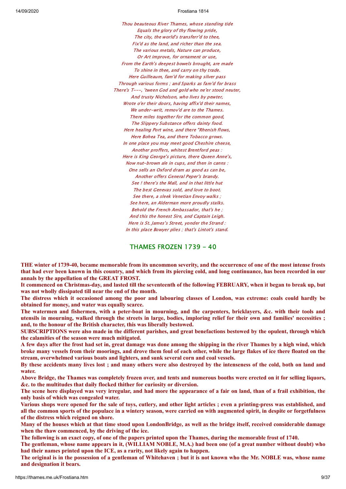Thou beauteous River Thames, whose standing tide Equals the glory of thy flowing pride, The city, the world's transferr'd to thee, Fix'd as the land, and richer than the sea. The various metals, Nature can produce, Or Art improve, for ornament or use, From the Earth's deepest bowels brought, are made To shine in thee, and carry on thy trade. Here Guilleaum, fam'd for making silver pass Through various forms ; and Sparks as fam'd for brass There's T---, 'tween God and gold who ne'er stood neuter, And trusty Nicholson, who lives by pewter, Wrote o'er their doors, having affix'd their names, We under-writ, remov'd are to the Thames. There miles together for the common good, The Slippery Substance offers dainty food. Here healing Port wine, and there "Rhenish flows, Here Bohea Tea, and there Tobacco grows. In one place you may meet good Cheshire cheese, Another proffers, whitest Brentford peas : Here is King George's picture, there Queen Anne's, Now nut-brown ale in cups, and then in canns : One sells an Oxford dram as good as can be, Another offers General Peper's brandy. See ! there's the Mall, and in that little hut The best Genevas sold, and love to boot. See there, a sleek Venetian Envoy walks ; See here, an Alderman more proudly stalks. Behold the French Ambassador, that's he ; And this the honest Sire, and Captain Leigh. Here is St. James's Street, yonder the Strand : In this place Bowyer plies ; that's Lintot's stand.

# THAMES FROZEN 1739 - 40

THE winter of 1739-40, became memorable from its uncommon severity, and the occurrence of one of the most intense frosts that had ever been known in this country, and which from its piercing cold, and long continuance, has been recorded in our **annals by the appellation of the GREAT FROST.**

It commenced on Christmas-day, and lasted till the seventeenth of the following FEBRUARY, when it began to break up, but **was not wholly dissipated till near the end of the month.**

The distress which it occasioned among the poor and labouring classes of London, was extreme: coals could hardly be **obtained for money, and water was equally scarce.**

The watermen and fishermen, with a peter-boat in mourning, and the carpenters, bricklayers, &c. with their tools and utensils in mourning, walked through the streets in large, bodies, imploring relief for their own and families' necessities; **and, to the honour of the British character, this was liberally bestowed.**

SUBSCRIPTIONS were also made in the different parishes, and great benefactions bestowed by the opulent, through which **the calamities of the season were much mitigated.**

A few days after the frost had set in, great damage was done among the shipping in the river Thames by a high wind, which broke many vessels from their moorings, and drove them foul of each other, while the large flakes of ice there floated on the **stream, overwhelmed various boats and lighters, and sunk several corn and coal vessels.**

By these accidents many lives lost; and many others were also destroyed by the intenseness of the cold, both on land and **water.**

Above Bridge, the Thames was completely frozen over, and tents and numerous booths were erected on it for selling liquors, **&c. to the multitudes that daily flocked thither for curiosity or diversion.**

The scene here displayed was very irregular, and had more the appearance of a fair on land, than of a frail exhibition, the **only basis of which was congealed water.**

Various shops were opened for the sale of toys, cutlery, and other light articles; even a printing-press was established, and all the common sports of the populace in a wintery season, were carried on with augmented spirit, in despite or forgetfulness **of the distress which reigned on shore.**

Many of the houses which at that time stood upon LondonBridge, as well as the bridge itself, received considerable damage **when the thaw commenced, by the driving of the ice.**

The following is an exact copy, of one of the papers printed upon the Thames, during the memorable frost of 1740.

The gentleman, whose name appears in it, (WILLIAM NOBLE, M.A.) had been one (of a great number without doubt) who **had their names printed upon the ICE, as a rarity, not likely again to happen.**

The original is in the possession of a gentleman of Whitehaven; but it is not known who the Mr. NOBLE was, whose name **and designation it bears.**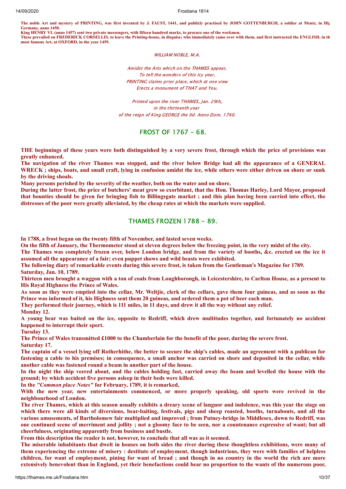**The noble Art and mystery of PRINTING, was first invented by J. FAUST, 1441, and publicly practised by JOHN GOTTENBURGH, a soldier at Mentz, in Hig Germany, anno 1450.**

**King HENRY VI. (anno 1457) sent two private messengers, with fifteen hundred marks, to procure one of the workmen. These prevailed on FREDERICK CORSELLIS, to leave the Printing-house, in disguise; who immediately came over with them, and first instructed the ENGLISH, in th most famous Art, at OXFORD, in the year 1459.**

WILLIAM NOBLE, M.A.

Amidst the Arts which on the THAMES appear, To tell the wonders of this icy year, PRINTING claims prior place, which at one view Erects a monument of THAT and You.

Printed upon the river THAMES, Jan. 29th, in the thirteenth year of the reign of King GEORGE the IId. Anno Dom. 1740.

# FROST OF 1767 - 68.

THE beginnings of these years were both distinguished by a very severe frost, through which the price of provisions was **greatly enhanced.**

The navigation of the river Thames was stopped, and the river below Bridge had all the appearance of a GENERAL WRECK; ships, boats, and small craft, lying in confusion amidst the ice, while others were either driven on shore or sunk **by the driving shoals.**

**Many persons perished by the severity of the weather, both on the water and on shore.**

During the latter frost, the price of butchers' meat grew so exorbitant, that the Hon. Thomas Harley, Lord Mayor, proposed that bounties should be given for bringing fish to Billingsgate market; and this plan having been carried into effect, the **distresses of the poor were greatly alleviated, by the cheap rates at which the markets were supplied.**

# THAMES FROZEN 1788 - 89.

**In 1788, a frost began on the twenty fifth of November, and lasted seven weeks.**

On the fifth of January, the Thermometer stood at eleven degrees below the freezing point, in the very midst of the city.

The Thames was completely frozen over, below London bridge, and from the variety of booths, &c. erected on the ice it **assumed all the appearance of a fair; even puppet shows and wild beasts were exhibited.**

The following diary of remarkable events during this severe frost, is taken from the Gentleman's Magazine for 1789. **Saturday, Jan. 10, 1789.**

Thirteen men brought a waggon with a ton of coals from Loughborongh, in Leicestershire, to Carlton House, as a present to **His Royal Highness the Prince of Wales.**

As soon as they were emptied into the cellar, Mr. Weltjie, clerk of the cellars, gave them four guineas, and as soon as the Prince was informed of it, his Highness sent them 20 guineas, and ordered them a pot of beer each man.

They performed their journey, which is 111 miles, in 11 days, and drew it all the way without any relief.

**Monday 12.**

A young bear was baited on the ice, opposite to Redriff, which drew multitudes together, and fortunately no accident **happened to interrupt their sport.**

**Tuesday 13.**

The Prince of Wales transmitted £1000 to the Chamberlain for the benefit of the poor, during the severe frost. **Saturday 17.**

The captain of a vessel lying off Rotherhithe, the better to secure the ship's cables, made an agreement with a publican for fastening a cable to his premises; in consequence, a small anchor was carried on shore and deposited in the cellar, while **another cable was fastened round a beam in another part of the house.**

In the night the ship veered about, and the cables holding fast, carried away the beam and levelled the house with the **ground; by which accident five persons asleep in their beds were killed.**

**In the** *"Common place Notes"* **for February, 1789, it is remarked,**

With the new year, new entertainments commenced, or more properly speaking, old sports were revived in the **neighbourhood of London.**

The river Thames, which at this season usually exhibits a dreary scene of languor and indolence, was this year the stage on which there were all kinds of diversions, bear-baiting, festivals, pigs and sheep roasted, booths, turnabouts, and all the various amusements, of Bartholomew fair multiplied and improved; from Putney-bridge in Middlesex, down to Redriff, was one continued scene of merriment and jollity; not a gloomy face to be seen, nor a countenance expressive of want; but all **cheerfulness, originating apparently from business and bustle.**

**From this description the reader is not, however, to conclude that all was as it seemed.**

The miserable inhabitants that dwelt in houses on both sides the river during these thoughtless exhibitions, were many of them experiencing the extreme of misery : destitute of employment, though industrious, they were with families of helpless children, for want of employment, pining for want of bread; and though in no country in the world the rich are more extensively benevolent than in England, yet their benefactions could bear no proportion to the wants of the numerous poor,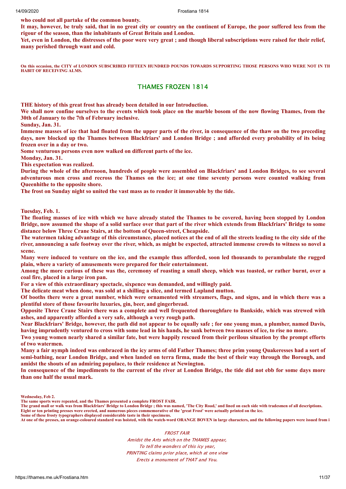**who could not all partake of the common bounty.**

It may, however, be truly said, that in no great city or country on the continent of Europe, the poor suffered less from the **rigour of the season, than the inhabitants of Great Britain and London.**

Yet, even in London, the distresses of the poor were very great; and though liberal subscriptions were raised for their relief, **many perished through want and cold.**

**On this occasion, the CITY of LONDON SUBSCRIBED FIFTEEN HUNDRED POUNDS TOWARDS SUPPORTING THOSE PERSONS WHO WERE NOT IN TH HABIT OF RECEIVING ALMS.**

# THAMES FROZEN 1814

**THE history of this great frost has already been detailed in our Introduction.**

We shall now confine ourselves to the events which took place on the marble bosom of the now flowing Thames, from the **30th of January to the 7th of February inclusive.**

**Sunday, Jan. 31.**

Immense masses of ice that had floated from the upper parts of the river, in consequence of the thaw on the two preceding days, now blocked up the Thames between Blackfriars' and London Bridge; and afforded every probability of its being **frozen over in a day or two.**

**Some venturous persons even now walked on different parts of the ice.**

**Monday, Jan. 31.**

**This expectation was realized.**

During the whole of the afternoon, hundreds of people were assembled on Blackfriars' and London Bridges, to see several adventurous men cross and recross the Thames on the ice; at one time seventy persons were counted walking from **Queenhithe to the opposite shore.**

**The frost on Sunday night so united the vast mass as to render it immovable by the tide.**

**Tuesday, Feb. 1.**

The floating masses of ice with which we have already stated the Thames to be covered, having been stopped by London Bridge, now assumed the shape of a solid surface over that part of the river which extends from Blackfriars' Bridge to some **distance below Three Crane Stairs, at the bottom of Queen-street, Cheapside.**

The watermen taking advantage of this circumstance, placed notices at the end of all the streets leading to the city side of the river, announcing a safe footway over the river, which, as might be expected, attracted immense crowds to witness so novel a **scene.**

Many were induced to venture on the ice, and the example thus afforded, soon led thousands to perambulate the rugged **plain, where a variety of amusements were prepared for their entertainment.**

Among the more curious of these was the, ceremony of roasting a small sheep, which was toasted, or rather burnt, over a **coal fire, placed in a large iron pan.**

**For a view of this extraordinary spectacle, sixpence was demanded, and willingly paid.**

**The delicate meat when done, was sold at a shilling a slice, and termed Lapland mutton.**

Of booths there were a great number, which were ornamented with streamers, flags, and signs, and in which there was a **plentiful store of those favourite luxuries, gin, beer, and gingerbread.**

Opposite Three Crane Stairs there was a complete and well frequented thoroughfare to Bankside, which was strewed with **ashes, and apparently afforded a very safe, although a very rough path.**

Near Blackfriars' Bridge, however, the path did not appear to be equally safe; for one young man, a plumber, named Davis, having imprudently ventured to cross with some lead in his hands, he sank between two masses of ice, to rise no more.

Two young women nearly shared a similar fate, but were happily rescued from their perilous situation by the prompt efforts **of two watermen.**

Many a fair nymph indeed was embraced in the icy arms of old Father Thames; three prim young Quakeresses had a sort of semi-bathing, near London Bridge, and when landed on terra firma, made the best of their way through the Borough, and **amidst the shouts of an admiring populace, to their residence at Newington.**

In consequence of the impediments to the current of the river at London Bridge, the tide did not ebb for some days more **than one half the usual mark.**

**Wednesday, Feb 2.**

**The same sports were repeated, and the Thames presented a complete FROST FAIR.**

**The grand mall or walk was from Blackfriars' Bridge to London Bridge ; this was named, 'The City Road,' and lined on each side with tradesmen of all descriptions. Eight or ten printing presses were erected, and numerous pieces commemorative of the 'great Frost' were actually printed on the ice.**

**Some of these frosty typographers displayed considerable taste in their specimens.**

**At one of the presses, an orange-coloured standard was hoisted, with the watch-word ORANGE BOVEN in large characters, and the following papers were issued from i**

FROST FAIR

Amidst the Arts which on the THAMES appear, To tell the wonders of this icy year, PRINTING claims prior place, which at one view Erects a monument of THAT and You.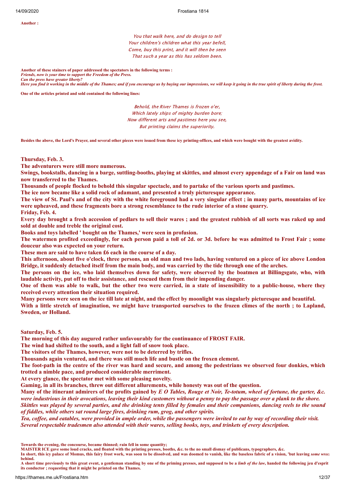You that walk here, and do design to tell Your children's children what this year befell, Come, buy this print, and it will then be seen That such a year as this has seldom been.

**Another of these stainers of paper addressed the spectators in the following terms :** *Friends, now is your time to support the Freedom of the Press. Can the press have greater liberty?*

*Here you find it working in the middle of the Thames; and if you encourage us by buying our impressions, we will keep it going in the true spirit of liberty during the frost.*

**One of the articles printed and sold contained the following lines:**

Behold, the River Thames is frozen o'er, Which lately ships of mighty burden bore; Now different arts and pastimes here you see, But printing claims the superiority.

**Besides the above, the Lord's Prayer, and several other pieces were issued from these icy printing-offices, and which were bought with the greatest avidity.**

**Thursday, Feb. 3.**

**The adventurers were still more numerous.**

Swings, bookstalls, dancing in a barge, suttling-booths, playing at skittles, and almost every appendage of a Fair on land was **now transferred to the Thames.**

Thousands of people flocked to behold this singular spectacle, and to partake of the various sports and pastimes.

**The ice now became like a solid rock of adamant, and presented a truly picturesque appearance.**

The view of St. Paul's and of the city with the white foreground had a very singular effect; in many parts, mountains of ice **were upheaved, and these fragments bore a strong resemblance to the rude interior of a stone quarry.**

**Friday, Feb. 4.**

Every day brought a fresh accession of pedlars to sell their wares; and the greatest rubbish of all sorts was raked up and **sold at double and treble the original cost.**

**Books and toys labelled ' bought on the Thames,' were seen in profusion.**

The watermen profited exceedingly, for each person paid a toll of 2d. or 3d. before he was admitted to Frost Fair; some **douceur also was expected on your return.**

**These men are said to have taken £6 each in the course of a day.**

This afternoon, about five o'clock, three persons, an old man and two lads, having ventured on a piece of ice above London Bridge, it suddenly detached itself from the main body, and was carried by the tide through one of the arches.

The persons on the ice, who laid themselves down for safety, were observed by the boatmen at Billingsgate, who, with **laudable activity, put off to their assistance, and rescued them from their impending danger.**

One of them was able to walk, but the other two were carried, in a state of insensibility to a public-house, where they **received every attention their situation required.**

Many persons were seen on the ice till late at night, and the effect by moonlight was singularly picturesque and beautiful.

With a little stretch of imagination, we might have transported ourselves to the frozen climes of the north; to Lapland, **Sweden, or Holland.**

**Saturday, Feb. 5.**

**The morning of this day augured rather unfavourably for the continuance of FROST FAIR.**

**The wind had shifted to the south, and a light fall of snow took place.**

**The visitors of the Thames, however, were not to be deterred by trifles.**

**Thousands again ventured, and there was still much life and bustle on the froxen element.**

The foot-path in the centre of the river was hard and secure, and among the pedestrians we observed four donkies, which **trotted a nimble pace, and produced considerable merriment.**

**At every glance, the spectator met with some pleasing novelty.**

**Gaming, in all its branches, threw out different allurements, while honesty was out of the question.**

Many of the itinerant admirers of the profits gained by E O Tables, Rouge et Noir, Te-totum, wheel of fortune, the garter, &c. were industrious in their avocations, leaving their kind customers without a penny to pay the passage over a plank to the shore. Skittles was played by several parties, and the drinking tents filled by females and their companions, dancing reels to the sound *of fiddles, while others sat round large fires, drinking rum, grog, and other spirits.*

Tea, coffee, and eatables, were provided in ample order, while the passengers were invited to eat by way of recording their visit. Several respectable tradesmen also attended with their wares, selling books, toys, and trinkets of every description.

- **MAISTER ICE gave some loud cracks, and floated with the printing presses, booths, &c. to the no small dismay of publicans, typographers, &c. In short, this icy palace of Momus, this fairy frost work, was soon to be dissolved, and was doomed to vanish, like the baseless fabric of a vision, 'but leaving** *some wreck*
- **behind. A short time previously to this great event, a gentleman standing by one of the priming presses, and supposed to be a** *limb of the law***, handed the following jeu d'esprit**
- **its conductor ; requesting that it might be printed on the Thames.**

**Towards the evening, the concourse, became thinned; rain fell in some quantity;**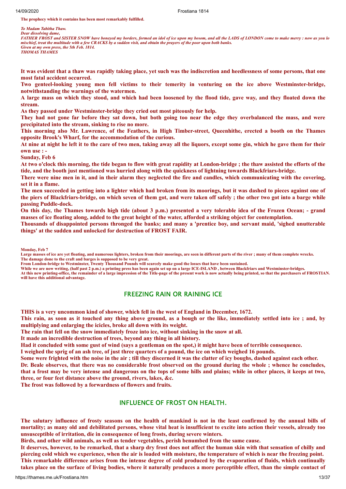**The prophecy which it contains has been most remarkably fulfilled.**

*To Madam Tabitha Thaw. Dear dissolving dame,* 

*FATHER FROST and SISTER SNOW have boneyed my borders, formed an idol of ice upon my bosom, and all the LADS of LONDON come to make merry : now as you lo mischief, treat the multitude with a few CRACKS by a sudden visit, and obtain the prayers of the poor upon both banks. Given at my own press, the 5th Feb. 1814. THOMAS THAMES*

It was evident that a thaw was rapidly taking place, yet such was the indiscretion and heedlessness of some persons, that one **most fatal accident occurred.**

**Two genteel-looking young men fell victims to their temerity in venturing on the ice above Westminster-bridge, notwithstanding the warnings of the watermen.**

A large mass on which they stood, and which had been loosened by the flood tide, gave way, and they floated down the **stream.**

**As they passed under Westminster-bridge they cried out most piteously for help.**

They had not gone far before they sat down, but both going too near the edge they overbalanced the mass, and were **precipitated into the stream, sinking to rise no more.**

This morning also Mr. Lawrence, of the Feathers, in High Timber-street, Queenhithe, erected a booth on the Thames **opposite Brook's Wharf, for the accommodation of the curious.**

At nine at night he left it to the care of two men, taking away all the liquors, except some gin, which he gave them for their **own use : -**

**Sunday, Feb 6**

At two o'clock this morning, the tide began to flow with great rapidity at London-bridge; the thaw assisted the efforts of the **tide, and the booth just mentioned was hurried along with the quickness of lightning towards Blackfriars-bridge.**

There were nine men in it, and in their alarm they neglected the fire and candles, which communicating with the covering, **set it in a flame.**

The men succeeded in getting into a lighter which had broken from its moorings, but it was dashed to pieces against one of the piers of Blackfriars-bridge, on which seven of them got, and were taken off safely; the other two got into a barge while **passing Puddle-dock.**

On this day, the Thames towards high tide (about 3 p.m.) presented a very tolerable idea of the Frozen Ocean; - grand masses of ice floating along, added to the great height of the water, afforded a striking object for contemplation.

Thousands of disappointed persons thronged the banks; and many a 'prentice boy, and servant maid, 'sighed unutterable **things' at the sudden and unlocked for destruction of FROST FAIR.**

**Monday, Feb 7**

**Large masses of ice are yet floating, and numerous lighters, broken from their moorings, are seen in different parts of the river ; many of them complete wrecks. The damage done to the craft and barges is supposed to be very great.**

**From London-bridge to Westminster, Twenty Thousand Pounds will scarcely make good the losses that have been sustained.**

**While we are now writing, (half past 2 p.m.) a printing press has been again set up on a large ICE-ISLAND , between Blackfriars and Westminster-bridges. At this new printing-office, the remainder of a large impression of the Title-page of the present work is now actually being printed, so that the purchasers of FROSTIANA will have this additional advantage.**

# FREEZING RAIN OR RAINING ICE

**THIS is a very uncommon kind of shower, which fell in the west of England in December, 1672.**

This rain, as soon as it touched any thing above ground, as a bough or the like, immediately settled into ice; and, by **multiplying and enlarging the icicles, broke all down with its weight.**

**The rain that fell on the snow immediately froze into ice, without sinking in the snow at all.**

**It made an incredible destruction of trees, beyond any thing in all history.**

Had it concluded with some gust of wind (says a gentleman on the spot,) it might have been of terrible consequence.

I weighed the sprig of an ash tree, of just three quarters of a pound, the ice on which weighed 16 pounds.

Some were frighted with the noise in the air; till they discerned it was the clatter of icy boughs, dashed against each other. Dr. Beale observes, that there was no considerable frost observed on the ground during the whole; whence he concludes, that a frost may be very intense and dangerous on the tops of some hills and plains; while in other places, it keeps at two,

**three, or four feet distance above the ground, rivers, lakes, &c.**

**The frost was followed by a forwardness of flowers and fruits.**

# INFLUENCE OF FROST ON HEALTH.

The salutary influence of frosty seasons on the health of mankind is not in the least confirmed by the annual bills of mortality; as many old and debilitated persons, whose vital heat is insufficient to excite into action their vessels, already too **unsusceptible of irritation, die in consequence of long frosts, during severe winters.**

**Birds, and other wild animals, as well as tender vegetables, perish benumbed from the same cause.**

It deserves, however, to be remarked, that a sharp dry frost does not affect the human skin with that sensation of chilly and piercing cold which we experience, when the air is loaded with moisture, the temperature of which is near the freezing point. This remarkable difference arises from the intense degree of cold produced by the evaporation of fluids, which continually takes place on the surface of living bodies, where it naturally produces a more perceptible effect, than the simple contact of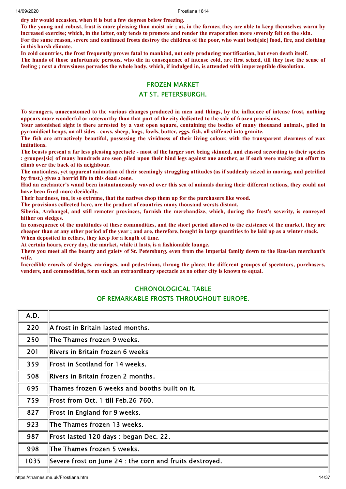**dry air would occasion, when it is but a few degrees below freezing.**

To the young and robust, frost is more pleasing than moist air; as, in the former, they are able to keep themselves warm by increased exercise; which, in the latter, only tends to promote and render the evaporation more severely felt on the skin. For the same reason, severe and continued frosts destroy the children of the poor, who want both[sic] food, fire, and clothing **in this harsh climate.**

In cold countries, the frost frequently proves fatal to mankind, not only producing mortification, but even death itself. The hands of those unfortunate persons, who die in consequence of intense cold, are first seized, till they lose the sense of feeling; next a drowsiness pervades the whole body, which, if indulged in, is attended with imperceptible dissolution.

## FROZEN MARKET

# AT ST. PETERSBURGH.

To strangers, unaccustomed to the various changes produced in men and things, by the influence of intense frost, nothing appears more wonderful or noteworthy than that part of the city dedicated to the sale of frozen provisions.

Your astonished sight is there arrested by a vast open square, containing the bodies of many thousand animals, piled in pyramidical heaps, on all sides - cows, sheep, hogs, fowls, butter, eggs, fish, all stiffened into granite.

The fish are attractively beautiful, possessing the vividness of their living colour, with the transparent clearness of wax **imitations.**

The beasts present a far less pleasing spectacle - most of the larger sort being skinned, and classed according to their species : groupes [sic] of many hundreds are seen piled upon their hind legs against one another, as if each were making an effort to **climb over the back of its neighbour.**

The motionless, vet apparent animation of their seemingly struggling attitudes (as if suddenly seized in moving, and petrified **by frost,) gives a horrid life to this dead scene.**

Had an enchanter's wand been instantaneously waved over this sea of animals during their different actions, they could not **have been fixed more decidedly.**

**Their hardness, too, is so extreme, that the natives chop them up for the purchasers like wood.**

**The provisions collected here, are the product of countries many thousand wersts distant.**

Siberia, Archangel, and still remoter provinces, furnish the merchandize, which, during the frost's severity, is conveyed **hither on sledges.**

In consequence of the multitudes of these commodities, and the short period allowed to the existence of the market, they are cheaper than at any other period of the year; and are, therefore, bought in large quantities to be laid up as a winter stock. **When deposited in cellars, they keep for a length of time.**

**At certain hours, every day, the market, while it lasts, is a fashionable lounge.**

There you meet all the beauty and gaiety of St. Petersburg, even from the Imperial family down to the Russian merchant's **wife.**

Incredible crowds of sledges, carriages, and pedestrians, throng the place; the different groupes of spectators, purchasers, **venders, and commodities, form such an extraordinary spectacle as no other city is known to equal.**

# CHRONOLOGICAL TABLE

# OF REMARKABLE FROSTS THROUGHOUT EUROPE.

| A.D. |                                                          |
|------|----------------------------------------------------------|
| 220  | $\mathsf A$ frost in Britain lasted months.              |
| 250  | The Thames frozen 9 weeks.                               |
| 201  | Rivers in Britain frozen 6 weeks                         |
| 359  | Frost in Scotland for 14 weeks.                          |
| 508  | Rivers in Britain frozen 2 months.                       |
| 695  | Thames frozen 6 weeks and booths built on it.            |
| 759  | Frost from Oct. 1 till Feb.26 760.                       |
| 827  | Frost in England for 9 weeks.                            |
| 923  | The Thames frozen 13 weeks.                              |
| 987  | Frost lasted 120 days : began Dec. 22.                   |
| 998  | The Thames frozen 5 weeks.                               |
| 1035 | Severe frost on June 24 : the corn and fruits destroyed. |

 $\mathbb{I}$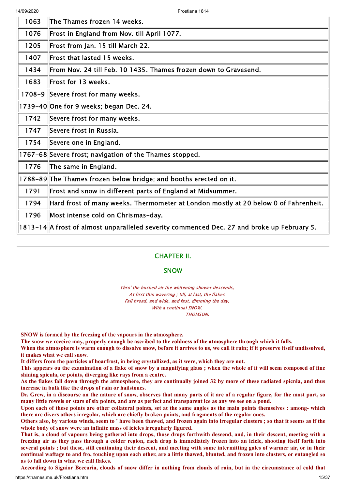| 1063 | The Thames frozen 14 weeks.                                                                |
|------|--------------------------------------------------------------------------------------------|
| 1076 | Frost in England from Nov. till April 1077.                                                |
| 1205 | Frost from Jan. 15 till March 22.                                                          |
| 1407 | Frost that lasted 15 weeks.                                                                |
| 1434 | From Nov. 24 till Feb. 10 1435. Thames frozen down to Gravesend.                           |
| 1683 | Frost for 13 weeks.                                                                        |
|      | 1708-9 Severe frost for many weeks.                                                        |
|      | 1739–40  One for 9 weeks; began Dec. 24.                                                   |
| 1742 | Severe frost for many weeks.                                                               |
| 1747 | Severe frost in Russia.                                                                    |
| 1754 | Severe one in England.                                                                     |
|      | 1767-68 Severe frost; navigation of the Thames stopped.                                    |
| 1776 | The same in England.                                                                       |
|      | 1788–89  The Thames frozen below bridge; and booths erected on it.                         |
| 1791 | Frost and snow in different parts of England at Midsummer.                                 |
| 1794 | Hard frost of many weeks. Thermometer at London mostly at 20 below 0 of Fahrenheit.        |
| 1796 | Most intense cold on Chrismas-day.                                                         |
|      | 1813–14 A frost of almost unparalleled severity commenced Dec. 27 and broke up February 5. |

# CHAPTER II.

# **SNOW**

Thro' the hushed air the whitening shower descends, At first thin wavering ; till, at last, the flakes Fall broad, and wide, and fast, dimming the day, With a continual SNOW. THOMSON.

**SNOW is formed by the freezing of the vapours in the atmosphere.**

The snow we receive may, properly enough be ascribed to the coldness of the atmosphere through which it falls.

When the atmosphere is warm enough to dissolve snow, before it arrives to us, we call it rain; if it preserve itself undissolved, **it makes what we call snow.**

**It differs from the particles of hoarfrost, in being crystallized, as it were, which they are not.**

This appears ou the examination of a flake of snow by a magnifying glass; when the whole of it will seem composed of fine **shining spicula, or points, diverging like rays from a centre.**

As the flakes fall down through the atmosphere, they are continually joined 32 by more of these radiated spicnla, and thus **increase in bulk like the drops of rain or hailstones.**

Dr. Grew, in a discourse on the nature of snow, observes that many parts of it are of a regular figure, for the most part, so many little rowels or stars of six points, and are as perfect and transparent ice as any we see on a pond.

Upon each of these points are other collateral points, set at the same angles as the main points themselves : among- which **there are divers others irregular, which are chiefly broken points, and fragments of the regular ones.**

Others also, by various winds, seem to ' have been thawed, and frozen again into irregular clusters; so that it seems as if the **whole body of snow were an infinite mass of icicles irregularly figured.**

That is, a cloud of vapours being gathered into drops, those drops forthwith descend, and, in their descent, meeting with a freezing air as they pass through a colder region, each drop is immediately frozen into an icicle, shooting itself forth into several points ; but these, still continuing their descent, and meeting with some intermitting gales of warmer air, or in their continual waftage to and fro, touching upon each other, are a little thawed, blunted, and frozen into clusters, or entangled so **as to fall down in what we call flakes.**

According to Signior Beccaria, clouds of snow differ in nothing from clouds of rain, but in the circumstance of cold that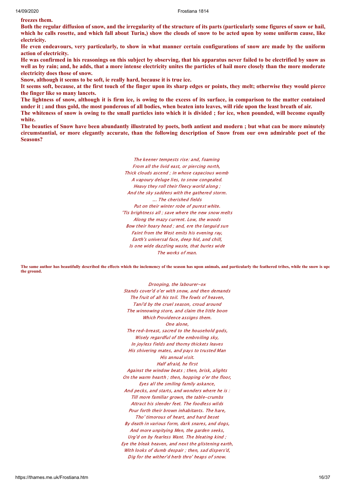**freezes them.**

Both the regular diffusion of snow, and the irregularity of the structure of its parts (particularly some figures of snow or hail, which he calls rosette, and which fall about Turin,) show the clouds of snow to be acted upon by some uniform cause, like **electricity.**

He even endeavours, very particularly, to show in what manner certain configurations of snow are made by the uniform **action of electricity.**

He was confirmed in his reasonings on this subject by observing, that his apparatus never failed to be electrified by snow as well as by rain; and, he adds, that a more intense electricity unites the particles of hail more closely than the more moderate **electricity does those of snow.**

**Snow, although it seems to be soft, ie really hard, because it is true ice.**

It seems soft, because, at the first touch of the finger upon its sharp edges or points, they melt; otherwise they would pierce **the finger like so many lancets.**

The lightness of snow, although it is firm ice, is owing to the excess of its surface, in comparison to the matter contained under it; and thus gold, the most ponderous of all bodies, when beaten into leaves, will ride upon the least breath of air. The whiteness of snow is owing to the small particles into which it is divided; for ice, when pounded, will become equally **white.**

The beauties of Snow have been abundantly illustrated by poets, both antient and modern; but what can be more minutely circumstantial, or more elegantly accurate, than the following description of Snow from our own admirable poet of the **Seasons?**

> The keener tempests rise: and, foaming From all the livid east, or piercing north, Thick clouds ascend ; in whose capacious womb A vapoury deluge lies, to snow congealed. Heavy they roll their fleecy world along ; And the sky saddens with the gathered storm. ... The cherished fields Put on their winter robe of purest white. 'Tis brightness all ; save where the new snow melts Along the mazy current. Low, the woods Bow their hoary head ; and, ere the languid sun Faint from the West emits his evening ray, Earth's universal face, deep hid, and chill, Is one wide dazzling waste, that buries wide The works of man.

**The same author has beautifully described the effects which the inclemency of the season has upon animals, and particularly the feathered tribes, while the snow is upo the ground.**

> Drooping, the labourer-ox Stands cover'd o'er with snow, and then demands The fruit of all his toil. The fowls of heaven, Tani'd by the cruel season, croud around The winnowing store, and claim the little boon Which Providence assigns them. One alone, The red-breast, sacred to the household gods, Wisely regardful of the embroiling sky, In joyless fields and thorny thickets leaves His shivering mates, and pays to trusted Man His annual visit. Half afraid, he first Against the window beats ; then, brisk, alights On the warm hearth ; then, hopping o'er the floor, Eyes all the smiling family askance, And pecks, and starts, and wonders where he is : Till more familiar grown, the table-crumbs Attract his slender feet. The foodless wilds Pour forth their brown inhabitants. The hare, Tho' timorous of heart, and hard beset By death in various form, dark snares, and dogs, And more unpitying Men, the garden seeks, Urg'd on by fearless Want. The bleating kind ; Eye the bleak heaven, and next the glistening earth, With looks of dumb despair ; then, sad dispers'd, Dig for the wither'd herb thro' heaps of snow.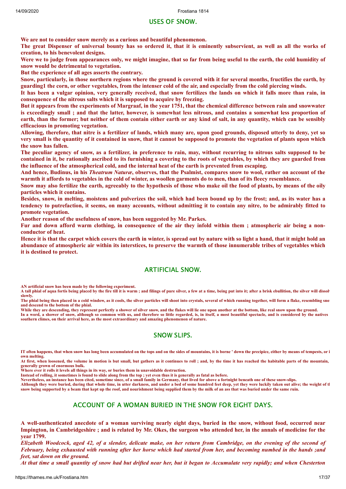# USES OF SNOW.

**We are not to consider snow merely as a curious and beautiful phenomenon.**

The great Dispenser of universal bounty has so ordered it, that it is eminently subservient, as well as all the works of **creation, to his benevolent designs.**

Were we to judge from appearances only, we might imagine, that so far from being useful to the earth, the cold humidity of **snow would be detrimental to vegetation.**

**But the experience of all ages asserts the contrary.**

Snow, particularly, in those northern regions where the ground is covered with it for several months, fructifies the earth, by guarding1 the corn, or other vegetables, from the intenser cold of the air, and especially from the cold piercing winds.

It has been a vulgar opinion, very generally received, that snow fertilizes the lands on which it falls more than rain, in **consequence of the nitrous salts which it is supposed to acquire by freezing.**

But it appears from the experiments of Margraaf, in the year 1751, that the chemical difference between rain and snowwater is exceedingly small: and that the latter, however, is somewhat less nitrous, and contains a somewhat less proportion of earth, than the former; but neither of them contain either earth or any kind of salt, in any quantity, which can be sensibly **efficacious in promoting vegetation.**

Allowing, therefore, that nitre is a fertilizer of lands, which many are, upon good grounds, disposed utterly to deny, yet so very small is the quantity of it contained in snow, that it cannot be supposed to promote the vegetation of plants upon which **the snow has fallen.**

The peculiar agency of snow, as a fertilizer, in preference to rain, may, without recurring to nitrous salts supposed to be contained in it, be rationally ascribed to its furnishing a covering to the roots of vegetables, by which they are guarded from **the influence of the atmospherical cold, and the internal heat of the earth is prevented from escaping.**

And hence, Budinus, in his *Theatrum Naturæ*, observes, that the Psalmist, compares snow to wool, rather on account of the warmth it affords to vegetables in the cold of winter, as woollen garments do to men, than of its fleecy resemblance.

Snow may also fertilize the earth, agreeably to the hypothesis of those who make oil the food of plants, by means of the oily **particles which it contains.**

Besides, snow, in melting, moistens and pulverizes the soil, which had been bound up by the frost; and, as its water has a tendency to putrefaction, it seems, on many accounts, without admitting it to contain any nitre, to be admirably fitted to **promote vegetation.**

**Another reason of the usefulness of snow, has been suggested by Mr. Parkes.**

Fur and down afford warm clothing, in consequence of the air they infold within them; atmospheric air being a non**conductor of heat.**

Hence it is that the carpet which covers the earth in winter, is spread out by nature with so light a hand, that it might hold an abundance of atmospheric air within its interstices, to preserve the warmth of those innumerable tribes of vegetables which **it is destined to protect.**

# ARTIFICIAL SNOW.

**AN artificial snow has been made by the following experiment.**

**A tall phial of aqua fortis being placed by the fire till it is warm ; and filings of pure silver, a few at a time, being put into it; after a brisk ebullition, the silver will dissolv slowly.**

**The phial being then placed in a cold window, as it cools, the silver particles will shoot into crystals, several of which running together, will form a flake, resembling snow and descend to the bottom of the phial.**

While they are descending, they represent perfectly a shower of silver snow, and the flakes will lie one upon another at the bottom, like real snow upon the ground. In a word, a shower of snow, although so common with us, and therefore so little regarded, is, in itself, a most beautiful spectacle, and is considered by the natives **southern climes, on their arrival here, as the most extraordinary and amazing phenomenon of nature.**

# SNOW SLIPS.

**IT often happens, that when snow has long been accumulated on the tops and on the sides of mountains, it is borne ' down the precipice, either by means of tempests, or i own melting.**

**At first, when loosened, the volume in motion is but small, but gathers as it continues to roll ; and, by the time it has reached the habitable parts of the mountain, generally grown of enormous bulk.**

**Where ever it rolls it levels all things in its way, or buries them in unavoidable destruction.**

**Instead of rolling, it sometimes is found to slide along from the top ; yet even thus it is generally as fatal as before.**

**Nevertheless, an instance has been cited, sometime since, of a small family in Germany, that lived for above a fortnight beneath one of these snow-slips.**

**Although they were buried, during that whole time, in utter darkness, and under a bed of some hundred feet deep, yet they were luckily taken out alive; the weight of th snow being supported by a beam that kept up the roof, and nourishment being supplied them by the milk of an ass that was buried under the same ruin.**

# ACCOUNT OF A WOMAN BURIED IN THE SNOW FOR EIGHT DAYS.

A well-authenticated anecdote of a woman surviving nearly eight days, buried in the snow, without food, occurred near Impington, in Cambridgeshire ; and is related by Mr. Okes, the surgeon who attended her, in the annals of medicine for the **year 1799.**

Elizabeth Woodcock, aged 42, of a slender, delicate make, on her return from Cambridge, on the evening of the second of February, being exhausted with running after her horse which had started from her, and becoming numbed in the hands ;and *feet, sat down on the ground.*

At that time a small quantity of snow had but drifted near her, but it began to Accumulate very rapidly; and when Chesterton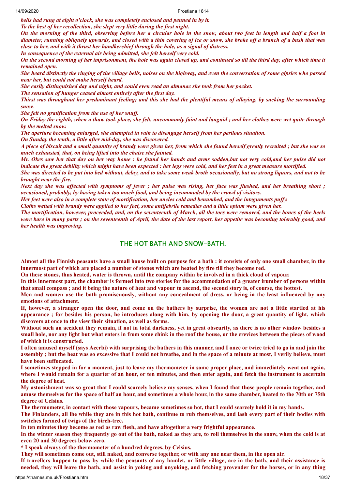*bells had rung at eight o'clock, she was completely enclosed and penned in by it.*

*To the best of her recollection, she slept very little during the first night.*

On the morning of the third, observing before her a circular hole in the snow, about two feet in length and half a foot in diameter, running obliquely upwards, and closed with a thin covering of ice or snow, she broke off a branch of a bush that was *close to her, and with it thrust her handkerchief through the hole, as a signal of distress.*

*In consequence of the external air being admitted, she felt herself very cold.*

On the second morning of her imprisonment, the hole was again closed up, and continued so till the third day, after which time it *remained open.*

She heard distinctly the ringing of the village bells, noises on the highway, and even the conversation of some gipsies who passed *near her, but could not make herself heard.*

*She easily distinguished day and night, and could even read an almanac she took from her pocket.*

*The sensation of hunger ceased almost entirely after the first day.*

Thirst was throughout her predominant feeling; and this she had the plentiful means of allaving, by sucking the surrounding *snow.*

*She felt no gratification from the use of her snuf .*

On Friday the eighth, when a thaw took place, she felt, uncommonly faint and languid; and her clothes were wet quite through *by the melted snow.*

*The aperture becoming enlarged, she attempted in vain to disengage herself from her perilous situation.*

*On Sunday the tenth, a little after mid-day, she was discovered.*

A piece of biscuit and a small quantity of brandy were given her, from which she found herself greatly recruited; but she was so *much exhausted, that, on being lifted into the chaise she fainted.*

Mr. Okes saw her that day on her way home: he found her hands and arms sodden, but not very cold, and her pulse did not indicate the great debility which might have been expected : her legs were cold, and her feet in a great measure mortified.

She was directed to be put into bed without, delay, and to take some weak broth occasionally, but no strong liquors, and not to be *brought near the fire.*

Next day she was affected with symptoms of fever; her pulse was rising, her face was flushed, and her breathing short; *occasioned, probably, by having taken too much food, and being incommoded by the crowd of visitors.*

Her feet were also in a complete state of mortification, her ancles cold and benumbed, and the integuments puffy.

Cloths wetted with brandy were applied to her feet, some antifebrile remedies and a little opium were given her.

The mortification, however, proceeded, and, on the seventeenth of March, all the toes were removed, and the bones of the heels were bare in many parts; on the seventeenth of April, the date of the last report, her appetite was becoming tolerably good, and *her health was improving.*

### THE HOT BATH AND SNOW-BATH.

Almost all the Finnish peasants have a small house built on purpose for a bath : it consists of only one small chamber, in the innermost part of which are placed a number of stones which are heated by fire till they become red.

On these stones, thus heated, water is thrown, until the company within be involved in a thick cloud of vapour.

In this innermost part, the chamber is formed into two stories for the accommodation of a greater irumber of persons within that small compass; and it being the nature of heat and vapour to ascend, the second story is, of course, the hottest.

Men and women use the bath promiscuously, without any concealment of dress, or being in the least influenced by any **emotions of attachment.**

If, however, a stranger open the door, and come on the bathers by surprise, the women are not a little startled at his appearance; for besides his person, he introduces along with him, by opening the door, a great quantity of light, which **discovers at once to the view their situation, as well as forms.**

Without such an accident they remain, if not in total darkness, yet in great obscurity, as there is no other window besides a small hole, nor any light but what enters in from some chink in the roof the house, or the crevices between the pieces of wood **of which it is constructed.**

I often amused myself (says Acerbi) with surprising the bathers in this manner, and I once or twice tried to go in and join the assembly; but the heat was so excessive that I could not breathe, and in the space of a minute at most, I verily believe, must **have been suffocated.**

I sometimes stepped in for a moment, just to leave my thermometer in some proper place, and immediately went out again, where I would remain for a quarter of an hour, or ten minutes, and then enter again, and fetch the instrument to ascertain **the degree of heat.**

My astonishment was so great that I could scarcely believe my senses, when I found that those people remain together, and amuse themselves for the space of half an hour, and sometimes a whole hour, in the same chamber, heated to the 70th or 75th **degree of Celsius.**

The thermometer, in contact with those vapours, became sometimes so hot, that I could scarcely hold it in my hands.

The Finlanders, all lhe while they are in this hot bath, continue to rub themselves, and lash every part of their bodies with **switches formed of twigs of the birch-tree.**

**In ten minutes they become as red as raw flesh, and have altogether a very frightful appearance.**

In the winter season they frequently go out of the bath, naked as they are, to roll themselves in the snow, when the cold is at **even 20 and 30 degrees below zero.**

**\* I speak always of the thermometer of a hundred degrees, by Celsius.**

They will sometimes come out, still naked, and converse together, or with any one near them, in the open air.

If travellers happen to pass by while the peasants of any hamlet, or little village, are in the bath, and their assistance is needed, they will leave the bath, and assist in yoking and unyoking, and fetching provender for the horses, or in any thing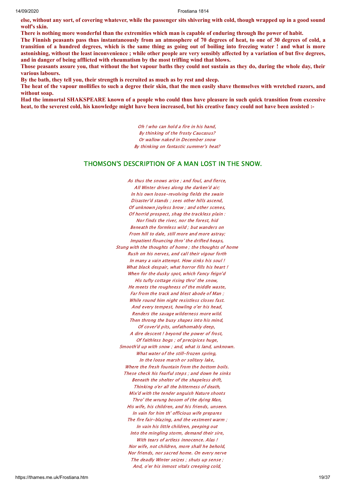else, without any sort, of covering whatever, while the passenger sits shivering with cold, though wrapped up in a good sound **wolf's skin.**

There is nothing more wonderful than the extremities which man is capable of enduring through lhe power of habit.

The Finnish peasants pass thus instantaneously from an atmosphere of 70 degrees of heat, to one of 30 degrees of cold, a transition of a hundred degrees, which is the same thing as going out of boiling into freezing water! and what is more astonishing, without the least inconvenience; while other people are very sensibly affected by a variation of but five degrees, **and in danger of being afflicted with rheumatism by the most trifling wind that blows.**

Those peasants assure you, that without the hot vapour baths they could not sustain as they do, during the whole day, their **various labours.**

**By the bath, they tell you, their strength is recruited as much as by rest and sleep.**

The heat of the vapour mollifies to such a degree their skin, that the men easily shave themselves with wretched razors, and **without soap.**

Had the immortal SHAKSPEARE known of a people who could thus have pleasure in such quick transition from excessive heat, to the severest cold, his knowledge might have been increased, but his creative fancy could not have been assisted :-

> Oh ! who can hold a fire in his hand, By thinking of the frosty Caucasus? Or wallow naked in December snow By thinking on fantastic summer's heat?

# THOMSON'S DESCRIPTION OF A MAN LOST IN THE SNOW.

As thus the snows arise ; and foul, and fierce, All Winter drives along the darken'd air; In his own loose-revolving fields the swain Disaster'd stands ; sees other hills ascend, Of unknown joyless brow ; and other scenes, Of horrid prospect, shag the trackless plain : Nor finds the river, nor the forest, hid Beneath the formless wild ; but wanders on From hill to dale, still more and more astray; Impatient flouncing thro' the drifted heaps, Stung with the thoughts of home ; the thoughts of home Rush on his nerves, and call their vigour forth In many a vain attempt. How sinks his soul ! What black despair, what horror fills his heart ! When for the dusky spot, which Fancy feign'd His tufty cottage rising thro' the snow, He meets the roughness of the middle waste, Far from the track and blest abode of Man ; While round him night resistless closes fast. And every tempest, howling o'er his head, Renders the savage wilderness more wild. Then throng the busy shapes into his mind, Of cover'd pits, unfathomably deep, A dire descent ! beyond the power of frost, Of faithless bogs ; of precipices huge, Smooth'd up with snow ; and, what is land, unknown. What water of the still-frozen spring, In the loose marsh or solitary lake, Where the fresh fountain from the bottom boils. These check his fearful steps ; and down he sinks Beneath the shelter of the shapeless drift, Thinking o'er all the bitterness of death, Mix'd with the tender anguish Nature shoots Thro' the wrung bosom of the dying Man, His wife, his children, and his friends, unseen. In vain for him th' officious wife prepares The fire fair-blazing, and the vestment warm ; In vain his little children, peeping out Into the mingling storm, demand their sire, With tears of artless innocence. Alas ! Nor wife, not children, more shall he behold, Nor friends, nor sacred home. On every nerve The deadly Winter seizes ; shuts up sense ; And, o'er his inmost vitals creeping cold,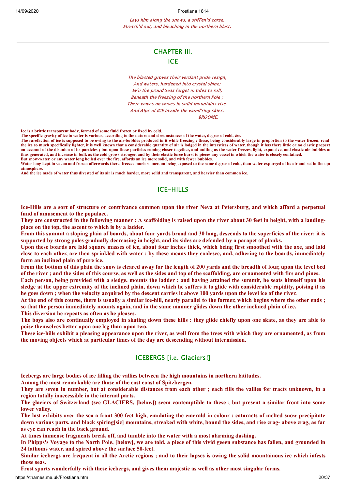Lays him along the snows, a stifFen'd corse, Stretch'd out, and bleaching in the northern blast.

# CHAPTER III. ICE

The blasted groves their verdant pride resign, And waters, hardened into crystal shine; Ev'n the proud Seas forget in tides to roll, Beneath the freezing of the northern Pole ; There waves on waves in solid mountains rise, And Alps of ICE invade the wond'ring skies. BROOME.

**Ice is a brittle transparent body, formed of some fluid frozen or fixed by cold.**

**The specific gravity of ice to water is various, according to the nature and circumstances of the water, degree of cold, &c.**

**The rarefaction of ice is supposed to be owing to the air-bubbles produced in it while freezing : these, being considerably large in proportion to the water frozen, rend the ice so much specifically lighter, it is well known that a considerable quantity of air is lodged in the interstices of water, though it has there little or no elastic propert on account of the disunion of its particles ; but upon these particles coming closer together, and uniting as the water freezes, light, expansive, and elastic air-bubbles ar thus generated, and increase in bulk as the cold grows stronger, and by their elastic force burst to pieces any vessel in which the water is closely contained. But snow-water, or any water long boiled over the fire, affords an ice more solid, and with fewer bubbles.**

**Water long kept in vacuo and frozen afterwards there, freezes much sooner, on being exposed to the same degree of cold, than water expurged of its air and set in the ope atmosphere.**

**And the ice made of water thus divested of its air is much harder, more solid and transparent, and heavier than common ice.**

# ICE-HILLS

Ice-Hills are a sort of structure or contrivance common upon the river Neva at Petersburg, and which afford a perpetual **fund of amusement to the populace.**

They are constructed in the following manner: A scaffolding is raised upon the river about 30 feet in height, with a landing**place on the top, the ascent to which is by a ladder.**

From this summit a sloping plain of boards, about four yards broad and 30 long, descends to the superficies of the river: it is supported by strong poles gradually decreasing in height, and its sides are defended by a parapet of planks.

Upon these boards are laid square masses of ice, about four inches thick, which being first smoothed with the axe, and laid close to each other, are then sprinkled with water : by these means they coalesce, and, adhering to the boards, immediately **form an inclined plain of pure ice.**

From the bottom of this plain the snow is cleared away for the length of 200 yards and the breadth of four, upon the level bed of the river; and the sides of this course, as well as the sides and top of the scaffolding, are ornamented with firs and pines.

Each person, being provided with a sledge, mounts the ladder; and having attained the summit, he seats himself upon his sledge at the upper extremity of the inclined plain, down which he suffers it to glide with considerable rapidity, poising it as he goes down; when the velocity acquired by the descent carries it above 100 yards upon the level ice of the river.

At the end of this course, there is usually a similar ice-hill, nearly parallel to the former, which begins where the other ends; so that the person immediately mounts again, and in the same manner glides down the other inclined plain of ice. **This diversion he repeats as often as he pleases.**

The boys also are continually employed in skating down these hills : they glide chiefly upon one skate, as they are able to **poise themselves better upon one leg than upon two.**

These ice-hills exhibit a pleasing appearance upon the river, as well from the trees with which they are ornamented, as from **the moving objects which at particular times of the day are descending without intermission.**

# ICEBERGS [i.e. Glaciers!]

**Icebergs are large bodies of ice filling the vallies between the high mountains in northern latitudes.**

**Among the most remarkable are those of the east coast of Spitzbergen.**

They are seven in number, but at considerable distances from each other; each fills the vallies for tracts unknown, in a **region totally inaccessible in the internal parts.**

The glaciers of Switzerland (see GLACIERS, [below]) seem contemptible to these; but present a similar front into some **lower valley.**

The last exhibits over the sea a front 300 feet high, emulating the emerald in colour : cataracts of melted snow precipitate down various parts, and black spiring[sic] mountains, streaked with white, bound the sides, and rise crag- above crag, as far **as eye can reach in the back ground.**

**At times immense fragments break off, and tumble into the water with a most alarming dashing.**

In Phipps's Voyage to the North Pole, [below], we are told, a piece of this vivid geeen substance has fallen, and grounded in **24 fathoms water, and spired above the surface 50-feet.**

Similar icebergs are frequent in all the Arctic regions; and to their lapses is owing the solid mountainous ice which infests **those seas.**

Frost sports wonderfully with these icebergs, and gives them majestic as well as other most singular forms.

https://thames.me.uk/Frostiana.htm 20/37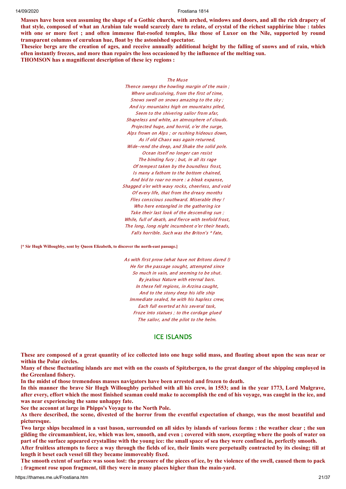Masses have been seen assuming the shape of a Gothic church, with arched, windows and doors, and all the rich drapery of that style, composed of what an Arabian tale would scarcely dare to relate, of crystal of the richest sapphirine blue : tables with one or more feet; and often immense flat-roofed temples, like those of Luxor on the Nile, supported by round **transparent columns of cœrulean hue, float by the astonished spectator.**

Theseice bergs are the creation of ages, and receive annually additional height by the falling of snows and of rain, which **often instantly freezes, and more than repairs the loss occasioned by the influence of the melting sun. THOMSON has a magnificent description of these icy regions :**

#### The Muse

Thence sweeps the howling margin of the main ; Where undissolving, from the first of time, Snows swell on snows amazing to the sky ; And icy mountains high on mountains piled, Seem to the shivering sailor from afar, Shapeless and white, an atmosphere of clouds. Projected huge, and horrid, o'er the surge, Alps frown on Alps ; or rushing hideous down, As if old Chaos was again returned, Wide-rend the deep, and Shake the solid pole. Ocean itself no longer can resist The binding fury ; but, in all its rage Of tempest taken by the boundless frost, Is many a fathom to the bottom chained, And bid to roar no more : a bleak expanse, Shagged o'er with wavy rocks, cheerless, and void Of every life, that from the dreary months Flies conscious southward. Miserable they ! Who here entangled in the gathering ice Take their last look of the descending sun ; While, full of death, and fierce with tenfold frost, The long, long night incumbent o'er their heads, Falls horrible. Such was the Briton's \* fate,

**[\* Sir Hugh Willougbby, sent by Queen Elizabeth, to discover the north-east passage.]**

As with first prow (what have not Britons dared !) He for the passage sought, attempted since So much in vain, and seeming to be shut. By jealous Nature with eternal bars. In these fell regions, in Arzina caught, And to the stony deep his idle ship Immediate sealed, he with his hapless crew, Each full exerted at his several task, Froze into statues ; to the cordage glued The sailor, and the pilot to the helm.

# ICE ISLANDS

These are composed of a great quantity of ice collected into one huge solid mass, and floating about upon the seas near or **within the Polar circles.**

Many of these fluctuating islands are met with on the coasts of Spitzbergen, to the great danger of the shipping employed in **the Greenland fishery.**

**In the midst of those tremendous masses navigators have been arrested and frozen to death.**

In this manner the brave Sir Hugh Willoughby perished with all his crew, in 1553; and in the vear 1773, Lord Mulgrave, after every, effort which the most finished seaman could make to accomplish the end of his voyage, was caught in the ice, and **was near experiencing the same unhappy fate.**

**See the acconnt at large in Phipps's Voyage to the North Pole.**

As there described, the scene, divested of the horror from the eventful expectation of change, was the most beautiful and **picturesque.**

Two large ships becalmed in a vast bason, surrounded on all sides by islands of various forms : the weather clear; the sun gilding the circumambient, ice, which was low, smooth, and even; covered with snow, excepting where the pools of water on part of the surface appeared crystalline with the young ice: the small space of sea they were confined in, perfectly smooth.

After fruitless attempts to force a way through the fields of ice, their limits were perpetually contracted by its closing; till at **length it beset each vessel till they became immoveably fixed.**

The smooth extent of surface was soon lost: the pressure of the pieces of ice, by the violence of the swell, caused them to pack **; fragment rose upon fragment, till they were in many places higher than the main-yard.**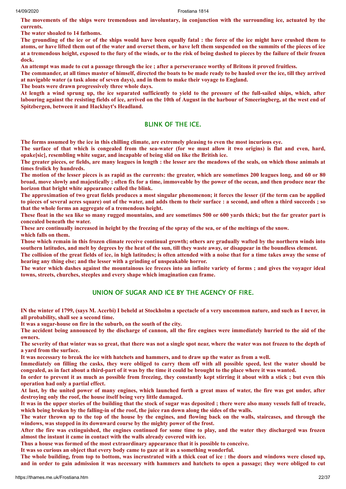The movements of the ships were tremendous and involuntary, in conjunction with the surrounding ice, actuated by the **currents.**

**The water shoaled to 14 fathoms.**

The grounding of the ice or of the ships would have been equally fatal : the force of the ice might have crushed them to atoms, or have lifted them out of the water and overset them, or have left them suspended on the summits of the pieces of ice at a tremendous height, exposed to the fury of the winds, or to the risk of being dashed to pieces by the failure of their frozen **dock.**

An attempt was made to cut a passage through the ice; after a perseverance worthy of Britons it proved fruitless.

The commander, at all times master of himself, directed the boats to be made ready to be hauled over the ice, till they arrived **at navigable water (a task alone of seven days), and in them to make their voyage to England.**

**The boats were drawn progressively three whole days.**

At length a wind sprung up, the ice separated sufficiently to yield to the pressure of the full-sailed ships, which, after labouring against the resisting fields of ice, arrived on the 10th of August in the harbour of Smeeringberg, at the west end of **Spitzbergen, between it and Hackluyt's Headland.**

# BLINK OF THE ICE.

The forms assumed by the ice in this chilling climate, are extremely pleasing to even the most incurious eve.

The surface of that which is congealed from the sea-water (for we must allow it two origins) is flat and even, hard, **opake[sic], resembling white sugar, and incapable of being slid on like the British ice.**

The greater pieces, or fields, are many leagues in length : the lesser are the meadows of the seals, on which those animals at **times frolick by hundreds.**

The motion of the lesser pieces is as rapid as the currents: the greater, which are sometimes 200 leagues long, and 60 or 80 broad, move slowly and majestically; often fix for a time, immoveable by the power of the ocean, and then produce near the **horizon that bright white appearance called the blink.**

The approximation of two great fields produces a most singular phenomenon; it forces the lesser (if the term can be applied to pieces of several acres square) out of the water, and adds them to their surface: a second, and often a third succeeds: so **that the whole forms an aggregate of a tremendous height.**

These float in the sea like so many rugged mountains, and are sometimes 500 or 600 vards thick; but the far greater part is **concealed beneath the water.**

These are continually increased in height by the freezing of the spray of the sea, or of the meltings of the snow. **which falls on them.**

Those which remain in this frozen climate receive continual growth; others are gradually wafted by the northern winds into southern latitudes, and melt by degrees by the heat of the sun, till they waste away, or disappear in the boundless element.

The collision of the great fields of ice, in high latitudes; is often attended with a noise that for a time takes away the sense of **hearing any thing else; and the lesser with a grinding of unspeakable horror.**

The water which dashes against the mountainous ice freezes into an infinite variety of forms; and gives the voyager ideal **towns, streets, churches, steeples and every shape which imagination can frame.**

# UNION OF SUGAR AND ICE BY THE AGENCY OF FIRE.

IN the winter of 1799, (says M. Acerbi) I beheld at Stockholm a spectacle of a very uncommon nature, and such as I never, in **all probability, shall see a second time.**

**It was a sugar-house on fire in the suburb, on the south of the city.**

The accident being announced by the discharge of cannon, all the fire engines were immediately hurried to the aid of the **owners.**

The severity of that winter was so great, that there was not a single spot near, where the water was not frozen to the depth of **a yard from the surface.**

It was necessary to break the ice with hatchets and hammers, and to draw up the water as from a well.

Immediately on filling the casks, they were obliged to carry them off with all possible speed, lest the water should be congealed, as in fact about a third-part of it was by the time it could be brought to the place where it was wanted.

In order to prevent it as much as possible from freezing, they constantly kept stirring it about with a stick; but even this **operation had only a partial effect.**

At last, by the united power of many engines, which launched forth a great mass of water, the fire was got under, after **destroying only the roof, the house itself being very little damaged.**

It was in the upper stories of the building that the stock of sugar was deposited; there were also many vessels full of treacle, which being broken by the falling-in of the roof, the juice ran down along the sides of the walls.

The water thrown up to the top of the house by the engines, and flowing back on the walls, staircases, and through the **windows, was stopped in its downward course by the mighty power of the frost.**

After the fire was extinguished, the engines continued for some time to play, and the water they discharged was frozen **almost the instant it came in contact with the walls already covered with ice.**

**Thus a house was formed of the most extraordinary appearance that it is possible to conceive.**

**It was so curious an object that every body came to gaze at it as a something wonderful.**

The whole building, from top to bottom, was incrustrated with a thick coat of ice : the doors and windows were closed up, and in order to gain admission it was necessary with hammers and hatchets to open a passage; they were obliged to cut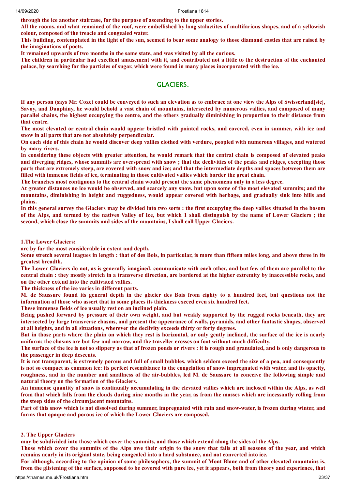**through the ice another staircase, for the purpose of ascending to the upper stories.**

All the rooms, and what remained of the roof, were embellished by long stalactites of multifarious shapes, and of a yellowish **colour, composed of the treacle and congealed water.**

This building, contemplated in the light of the sun, seemed to bear some analogy to those diamond castles that are raised by **the imaginations of poets.**

**It remained upwards of two months in the same state, and was visited by all the curious.**

The children in particular had excellent amusement with it, and contributed not a little to the destruction of the enchanted palace, by searching for the particles of sugar, which were found in many places incorporated with the ice.

### GLACIERS.

If any person (says Mr. Coxe) could be conveyed to such an elevation as to embrace at one view the Alps of Swisserland[sic], Savoy, and Dauphiny, he would behold a vast chain of mountains, intersected by numerous vallies, and composed of many parallel chains, the highest occupying the centre, and the others gradually diminishing in proportion to their distance from **that centre.**

The most elevated or central chain would appear bristled with pointed rocks, and covered, even in summer, with ice and **snow in all parts that are not absolutely perpendicular.**

On each side of this chain he would discover deep vallies clothed with verdure, peopled with numerous villages, and watered **by many rivers.**

In considering these objects with greater attention, he would remark that the central chain is composed of elevated peaks and diverging ridges, whose summits are overspread with snow; that the declivities of the peaks and ridges, excepting those parts that are extremely steep, are covered with snow and ice; and that the intermediate depths and spaces between them are **filled with immense fields of ice, terminating in those cultivated vallies which border the great chain.**

The branches most contiguous to the central chain would present the same phenomena only in a less degree.

At greater distances no ice would be observed, and scarcely any snow, but upon some of the most elevated summits; and the mountains, diminishing in height and ruggedness, would appear covered with herbage, and gradually sink into hills and **plains.**

In this general survey the Glaciers may be divided into two sorts : the first occupying the deep vallies situated in the bosom of the Alps, and termed by the natives Valley of Ice, but which 1 shall distinguish by the name of Lower Glaciers; the **second, which close the summits and sides of the mountains, I shall call Upper Glaciers.**

#### **1.The Lower Glaciers:**

**are by far the most considerable in extent and depth.**

Some stretch several leagues in length : that of des Bois, in particular, is more than fifteen miles long, and above three in its **greatest breadth.**

The Lower Glaciers do not, as is generally imagined, communicate with each other, and but few of them are parallel to the central chain: they mostly stretch in a transverse direction, are bordered at the higher extremity by inaccessible rocks, and **on the other extend into the cultivated vallies.**

**The thickness of the ice varies in different parts.**

M, de Saussure found its general depth in the glacier des Bois from eighty to a hundred feet, bnt questions not the **information of those who assert that in some places its thickness exceed even six hundred feet.**

**These immense fields of ice usually rest on an inclined plain.**

Being pushed forward by pressure of their own weight, and but weakly supported by the rugged rocks beneath, they are intersected by large transverse chasms, and present the appearance of walls, pyramids, and other fantastic shapes, observed **at all heights, and in all situations, wherever the declivity exceeds thirty or forty degrees.**

But in those parts where the plain on which they rest is horizontal, or only gently inclined, the surface of the ice is nearly **uniform; the chasms are but few and narrow, and the traveller crosses on foot without much difficulty.**

The surface of the ice is not so slippery as that of frozen ponds or rivers : it is rough and granulated, and is only dangerous to **the passenger in deep descents.**

It is not transparent, is extremely porous and full of small bubbles, which seldom exceed the size of a pea, and consequently is not so compact as common ice: its perfect resemblance to the congelation of snow impregnated with water, and its opacity, roughness, and in the number and smallness of the air-bubbles, led M. de Saussure to conceive the following simple and **natural theory on the formation of the Glaciers.**

An immense quantity of snow is continually accumulating in the elevated vallies which are inclosed within the Alps, as well from that which falls from the clouds during nine months in the year, as from the masses which are incessantly rolling from **the steep sides of the circumjacent mountains.**

Part of this snow which is not dissolved during summer, impregnated with rain and snow-water, is frozen during winter, and **forms that opaque and porous ice of which the Lower Glaciers are composed.**

#### **2. The Upper Glaciers**

may be subdivided into those which cover the summits, and those which extend along the sides of the Alps.

Those which cover the summits of the Alps owe their origin to the snow that falls at all seasons of the year, and which **remains nearly in its original state, being congealed into a hard substance, and not converted into ice.**

For although, according to the opinion of some philosophers, the summit of Mont Blanc and of other elevated mountains is, from the glistening of the surface, supposed to be covered with pure ice, yet it appears, both from theory and experience, that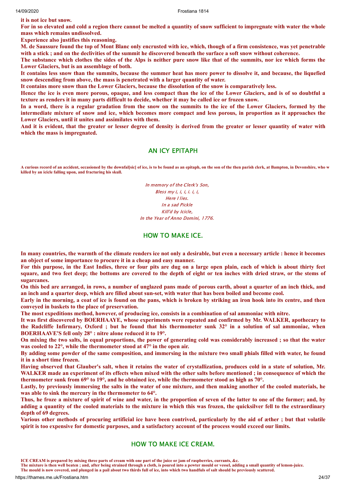**it is not ice but snow.**

For in so elevated and cold a region there cannot be melted a quantity of snow sufficient to impregnate with water the whole **mass which remains undissolved.**

**Experience also justifies this reasoning.**

M. de Saussure found the top of Mont Blanc only encrusted with ice, which, though of a firm consistence, was yet penetrable with a stick; and on the declivities of the summit he discovered beneath the surface a soft snow without coherence.

The substance which clothes the sides of the Alps is neither pure snow like that of the summits, nor ice which forms the **Lower Glaciers, but is an assemblage of both.**

It contains less snow than the summits, because the summer heat has more power to dissolve it, and because, the liquefied **snow descending from above, the mass is penetrated with a larger quantity of water.**

**It contains more snow than the Lower Glaciers, because the dissolution of the snow is comparatively less.**

Hence the ice is even more porous, opaque, and less compact than the ice of the Lower Glaciers, and is of so doubtful a texture as renders it in many parts difficult to decide, whether it may be called ice or frozen snow.

In a word, there is a regular gradation from the snow on the summits to the ice of the Lower Glaciers, formed by the intermediate mixture of snow and ice, which becomes more compact and less porous, in proportion as it approaches the **Lower Glaciers, until it unites and assimilates with them.**

And it is evident, that the greater or lesser degree of density is derived from the greater or lesser quantity of water with **which the mass is impregnated.**

# AN ICY EPITAPH

**A curious record of an accident, occasioned by the downfal[sic] of ice, is to be found as an epitaph, on the son of the then parish clerk, at Bampton, in Devonshire, who w killed by an icicle falling upon, and fracturing his skull.**

> In memory of the Clerk's Son, Bless my i, i, i, i. i, i, Here I lies. In a sad Pickle Kill'd by Icicle, In the Year of Anno Domini, 1776.

# HOW TO MAKE ICE.

In many countries, the warmth of the climate renders ice not only a desirable, but even a necessary article : hence it becomes **an object of some importance to procure it in a cheap and easy manner.**

For this purpose, in the East Indies, three or four pits are dug on a large open plain, each of which is about thirty feet square, and two feet deep; the bottoms are covered to the depth of eight or ten inches with dried straw, or the stems of **sugarcanes.**

On this bed are arranged, in rows, a number of unglazed pans made of porous earth, about a quarter of an inch thick, and an inch and a quarter deep, which are filled about sun-set, with water that has been boiled and become cool.

Early in the morning, a coat of ice is found on the pans, which is broken by striking an iron hook into its centre, and then **conveyed in baskets to the place of preservation.**

The most expeditions method, however, of producing ice, consists in a combination of sal ammoniac with nitre.

It was first discovered by BOERHAAYE, whose experiments were repeated and confirmed by Mr. WALKER, apothecary to the Radcliffe Infirmary, Oxford ; but he found that his thermometer sunk 32° in a solution of sal ammoniac, when **BOERHAAVE'S fell only 28° : nitre alone reduced it to 19°.**

On mixing the two salts, in equal proportions, the power of generating cold was considerably increased; so that the water **was cooled to 22°, while the thermometer stood at 47° in the open air.**

By adding some powder of the same composition, and immersing in the mixture two small phials filled with water, he found **it in a short time frozen.**

Having observed that Glauber's salt, when it retains the water of crystallization, produces cold in a state of solution, Mr. WALKER made an experiment of its effects when mixed with the other salts before mentioned ; in consequence of which the **thermometer sunk from 69° to 19°, and he obtained ice, while the thermometer stood as high as 70°.**

Lastly, by previously immersing the salts in the water of one mixture, and then making another of the cooled materials, he **was able to sink the mercury in the thermometer to 64°.**

Thus, he froze a mixture of spirit of wine and water, in the proportion of seven of the latter to one of the former; and, by adding a quantity of the cooled materials to the mixture in which this was frozen, the quicksilver fell to the extraordinary **depth of 69 degrees.**

Various other methods of procuring artificial ice have been contrived, particularly by the aid of æther; but that volatile spirit is too expensive for domestic purposes, and a satisfactory account of the process would exceed our limits.

# HOW TO MAKE ICE CREAM.

**The mixture is then well beaten ; and, after being strained through a cloth, is poured into a pewter mould or vessel, adding a small quantity of lemon-juice.**

**The mould is now covered, and plunged in a pail about two thirds full of ice, into which two handfuls of salt should be previously scattered.**

**ICE CREAM is prepared by mixing three parts of cream with one part of the juice or jam of raspberries, currants, &c.**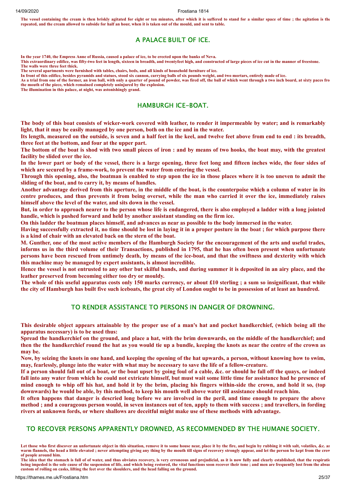**The vessel containing the cream is then briskly agitated for eight or ten minutes, after which it is suffered to stand for a similar space of time ; the agitation is the repeated, and the cream allowed to subside for half an hour, when it is taken out of the mould, and sent to table.**

# A PALACE BUILT OF ICE.

**In the year 1740, the Empress Anne of Russia, caused a palace of ice, to be erected upon the banks of Neva.**

**This extraordinary edifice, was fifty-two feet in length, sixteen in breadth, and twentyfeet high, and constructed of large pieces of ice cut in the manner of freestone. The walls were three feet thick.**

**The several apartments were furnished with tables, chairs, beds, and all kinds of household furniture of ice.**

**In front of this edifice, besides pyramids and statues, stood six cannon, carrying balls of six pounds weight, and two mortars, entirely made of ice.**

**As a trial from one of the former, an iron ball, with only a quarter of pound of powder, was fired off, the ball of which went through a two inch board, at sixty paces fro the mouth of the piece, which remained completely uninjured by the explosion.**

**The illumination in this palace, at night, was astonishingly grand.**

# HAMBURGH ICE-BOAT.

The body of this boat consists of wicker-work covered with leather, to render it impermeable by water; and is remarkably **light, that it may be easily managed by one person, both on the ice and in the water.**

Its length, measured on the outside, is seven and a half feet in the keel, and twelve feet above from end to end : its breadth, **three feet at the bottom, and four at the upper part.**

The bottom of the boat is shod with two small pieces of iron : and by means of two hooks, the boat may, with the greatest **facility be slided over the ice.**

In the lower part or body of the vessel, there is a large opening, three feet long and fifteen inches wide, the four sides of **which are secured by a frame-work, to prevent the water from entering the vessel.**

Through this opening, also, the boatman is enabled to step upon the ice in those places where it is too uneven to admit the **sliding of the boat, and to carry it, by means of handles.**

Another advantage derived from this aperture, in the middle of the boat, is the counterpoise which a column of water in its centre produces, and thus prevents it from being overset, while the man who carried it over the ice, immediately raises **himself above the level of the water, and sits down in the vessel.**

But, in order to approach nearer to the person whose life is endangered, there is also employed a ladder with a long jointed **handle, which is pushed forward and held by another assistant standing on the firm ice.**

On this ladder the boatman places himself, and advances as near as possible to the body immersed in the water.

Having successfully extracted it, no time should be lost in laying it in a proper posture in the boat; for which purpose there **is a kind of chair with an elevated back on the stern of the boat.**

M. Gunther, one of the most active members of the Hamburgh Society for the encouragement of the arts and useful trades, informs us in the third volume of their Transactions, published in 1795, that he has often been present when unfortunate persons have been rescued from untimely death, by means of the ice-boat, and that the swiftness and dexterity with which **this machine may be managed by expert assistants, is almost incredible.**

Hence the vessel is not entrusted to any other but skilful hands, and during summer it is deposited in an airy place, and the **leather preserved from becoming either too dry or mouldy.**

The whole of this useful apparatus costs only 150 marks currency, or about £10 sterling; a sum so insignificant, that while the city of Hamburgh has built five such iceboats, the great city of London ought to be in possession of at least an hundred.

# TO RENDER ASSISTANCE TO PERSONS IN DANGER OF DROWNING.

This desirable object appears attainable by the proper use of a man's hat and pocket handkerchief, (which being all the **apparatus necessary) is to be used thus:**

Spread the handkerchief on the ground, and place a hat, with the brim downwards, on the middle of the handkerchief; and then the the handkerchief round the hat as you would tie up a bundle, keeping the knots as near the centre of the crown as **may be.**

Now, by seizing the knots in one hand, and keeping the opening of the hat upwards, a person, without knowing how to swim, may, fearlessly, plunge into the water with what may be necessary to save the life of a fellow-creature.

If a person should fall out of a boat, or the boat upset by going foul of a cable, &c. or should he fall off the quays, or indeed fall into any water from which he could not extricate himself, but must wait some little time for assistance had he presence of mind enough to whip off his hat, and hold it by the brim, placing his fingers within-side the crown, and hold it so, (top downwards) he would be able, by this method, to keep his mouth well above water till assistance should reach him.

It often happens that danger is descried long before we are involved in the peril, and time enough to prepare the above method; and a courageous person would, in seven instances out of ten, apply to them with success; and travellers, in fording **rivers at unknown fords, or where shallows are deceitful might make use of these methods with advantage.**

### TO RECOVER PERSONS APPARENTLY DROWNED, AS RECOMMENDED BY THE HUMANE SOCIETY.

**Let those who first discover an unfortunate object in this situation, remove it to some house near, place it by the fire, and begin by rubbing it with salt, volatiles, &c. an warm flannels, the head a little elevated ; never attempting giving any thing by the mouth till signs of recovery strongly appear, and let the person be kept from the crow of people around him.**

**The idea that the stomach is full of of water, and thus obviates recovery, is very erroneous and prejudicial, as it is now fully and clearly established, that the respiratio being impeded is the sole cause of the suspension of life, and which being restored, the vital functions soon recover their tone ; and men are frequently lost from the absur custom of rolling on casks, lifting the feet over the shoulders, and the head falling on the ground.**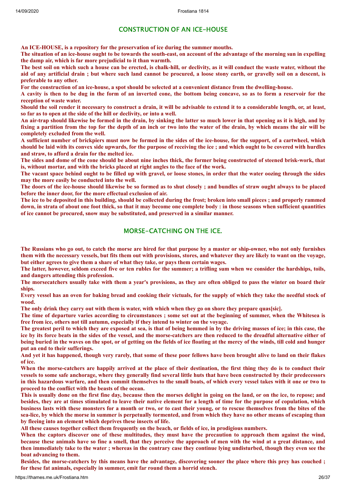# CONSTRUCTION OF AN ICE-HOUSE

**An ICE-HOUSE, is a repository for the preservation of ice during the summer mouths.**

The situation of an ice-house ought to be towards the south-east, on account of the advantage of the morning sun in expelling **the damp air, which is far more prejudicial to it than warmth.**

The best soil on which such a house can be erected, is chalk-hill, or declivity, as it will conduct the waste water, without the aid of any artificial drain; but where such land cannot be procured, a loose stony earth, or gravelly soil on a descent, is **preferable to any other.**

For the construction of an ice-house, a spot should be selected at a convenient distance from the dwelling-house.

A cavity is then to be dug in the form of an inverted cone, the bottom being concave, so as to form a reservoir for the **reception of waste water.**

Should the soil render it necessary to construct a drain, it will be advisable to extend it to a considerable length, or, at least, **so far as to open at the side of the hill or declivity, or into a well.**

An air-trap should likewise be formed in the drain, by sinking the latter so much lower in that opening as it is high, and by fixing a partition from the top for the depth of an inch or two into the water of the drain, by which means the air will be **completely excluded from the well.**

A sufficient number of brickpiers must now be formed in the sides of the ice-house, for the support, of a cartwheel, which should be laid with its convex side upwards, for the purpose of receiving the ice; and which ought to be covered with hurdles **and straw, to afford a drain for the melted ice.**

The sides and dome of the cone should be about nine inches thick, the former being constructed of steened brisk-work, that **is, without mortar, and with the bricks placed at right angles to the face of the work.**

The vacant space behind ought to be filled up with gravel, or loose stones, in order that the water oozing through the sides **may the more easily be conducted into the well.**

The doors of the ice-house should likewise be so formed as to shut closely; and bundles of straw ought always to be placed **before the inner door, for the more effectual exclusion of air.**

The ice to be deposited in this building, should be collected during the frost; broken into small pieces; and properly rammed down, in strata of about one foot thick, so that it may become one complete body : in those seasons when sufficient quantities **of ice cannot be procured, snow may be substituted, and preserved in a similar manner.**

# MORSE-CATCHING ON THE ICE.

The Russians who go out, to catch the morse are hired for that purpose by a master or ship-owner, who not only furnishes them with the necessary vessels, but fits them out with provisions, stores, and whatever they are likely to want on the voyage, **but either agrees to give them a share of what they take, or pays them certain wages.**

The latter, however, seldom exceed five or ten rubles for the summer; a trifling sum when we consider the hardships, toils, **and dangers attending this profession.**

The morsecatchers usually take with them a year's provisions, as they are often obliged to pass the winter on board their **ships.**

Every vessel has an oven for baking bread and cooking their victuals, for the supply of which they take the needful stock of **wood.**

The only drink they carry out with them is water, with which when they go on shore they prepare quas[sic].

The time of departure varies according to circumstances; some set out at the beginning of summer, when the Whitesea is **free from ice, others not till autumn, especially if they intend to winter on the voyage.**

The greatest peril to which they are exposed at sea, is that of being hemmed in by the driving masses of ice; in this case, the ice by its force beats in the sides of the vessel, and the morse-catchers are then reduced to the dreadful alternative either of being buried in the waves on the spot, or of getting on the fields of ice floating at the mercy of the winds, till cold and hunger **put an end to their sufferings.**

And yet it has happened, though very rarely, that some of these poor fellows have been brought alive to land on their flakes **of ice.**

When the morse-catchers are happily arrived at the place of their destination, the first thing they do is to conduct their vessels to some safe anchorage, where they generally find several little huts that have been constructed by their predecessors in this hazardous warfare, and then commit themselves to the small boats, of which every vessel takes with it one or two to **proceed to the conflict with the beasts of the ocean.**

This is usually done on the first fine day, because then the morses delight in going on the land, or on the ice, to repose; and besides, they are at times stimulated to leave their native element for a length of time for the purpose of copulation, which business lasts with these monsters for a month or two, or to cast their young, or to rescue themselves from the bites of the sea-lice, by which the morse in summer is perpetually tormented, and from which they have no other means of escaping than **by fleeing into an element which deprives these insects of life.**

**All these causes together collect them frequently on the beach, or fields of ice, in prodigious numbers.**

When the captors discover one of these multitudes, they must have the precaution to approach them against the wind, because these animals have so fine a smell, that they perceive the approach of men with the wind at a great distance, and then immediately take to the water; whereas in the contrary case they continue lying undisturbed, though they even see the **boat advancing to them.**

Besides, the morse-catchers by this means have the advantage, discovering sooner the place where this prev has couched; **for these fat animals, especially in summer, emit far round them a horrid stench.**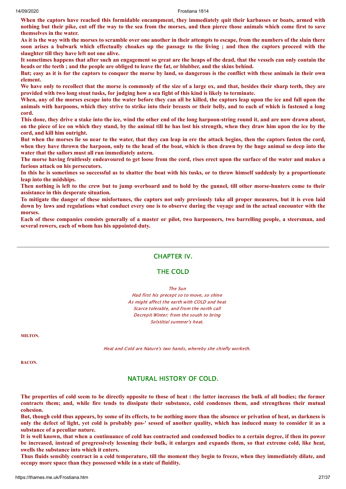When the captors have reached this formidable encampment, they immediately quit their karbasses or boats, armed with nothing but their pike, cut off the way to the sea from the morses, and then pierce those animals which come first to save **themselves in the water.**

As it is the way with the morses to scramble over one another in their attempts to escape, from the numbers of the slain there soon arises a bulwark which effectually choakes up the passage to the living; and then the captors proceed with the **slaughter till they have left not one alive.**

It sometimes happens that after such an engagement so great are the heaps of the dead, that the vessels can only contain the heads or the teeth; and the people are obliged to leave the fat, or blubber, and the skins behind.

But; easy as it is for the captors to conquer the morse by land, so dangerous is the conflict with these animals in their own **element.**

We have only to recollect that the morse is commonly of the size of a large ox, and that, besides their sharp teeth, they are provided with two long stout tusks, for judging how a sea fight of this kind is likely to terminate.

When, any of the morses escape into the water before they can all be killed, the captors leap upon the ice and fall upon the animals with harpoons, which they strive to strike into their breasts or their belly, and to each of which is fastened a long **cord.**

This done, they drive a stake into the ice, wind the other end of the long harpoon-string round it, and are now drawn about, on the piece of ice on which they stand, by the animal till he has lost his strength, when they draw him upon the ice by the **cord, and kill him outright.**

But when the morses lie so near to the water, that they can leap in ere the attack begins, then the captors fasten the cord, when they have thrown the harpoon, only to the head of the boat, which is then drawn by the huge animal so deep into the **water that the sailors must all run immediately astern.**

The morse having fruitlessly endeavoured to get loose from the cord, rises erect upon the surface of the water and makes a **furious attack on his persecutors.**

In this he is sometimes so successful as to shatter the boat with his tusks, or to throw himself suddenly by a proportionate **leap into the midships.**

Then nothing is left to the crew but to jump overboard and to hold by the gunnel, till other morse-hunters come to their **assistance in this desperate situation.**

To mitigate the danger of these misfortunes, the captors not only previously take all proper measures, but it is even laid down by laws and regulations what conduct every one is to observe during the voyage and in the actual encounter with the **morses.**

Each of these companies consists generally of a master or pilot, two harpooners, two barrelling people, a steersman, and **several rowers, each of whom has his appointed duty.**

# CHAPTER IV.

# THE COLD

The Sun

Had first his precept so to move, so shine As might affect the earth with COLD and heat Scarce tolerable, and from the north call Decrepit Winter; from the south to bring Solstitial summer's heat.

**MILTON.**

Heat and Cold are Nature's two hands, whereby she chiefly worketh.

**BACON.**

# NATURAL HISTORY OF COLD.

The properties of cold seem to be directly opposite to those of heat : the latter increases the bulk of all bodies; the former contracts them; and, while fire tends to dissipate their substance, cold condenses them, and strengthens their mutual **cohesion.**

But, though cold thus appears, by some of its effects, to be nothing more than the absence or privation of heat, as darkness is only the defect of light, yet cold is probably pos-' sessed of another quality, which has induced many to consider it as a **substance of a peculiar nature.**

It is well known, that when a continuance of cold has contracted and condensed bodies to a certain degree, if then its power be increased, instead of progressively lessening their bulk, it enlarges and expands them, so that extreme cold, like heat, **swells the substance into which it enters.**

Thus fluids sensibly contract in a cold temperature, till the moment they begin to freeze, when they immediately dilate, and **occupy more space than they possessed while in a state of fluidity.**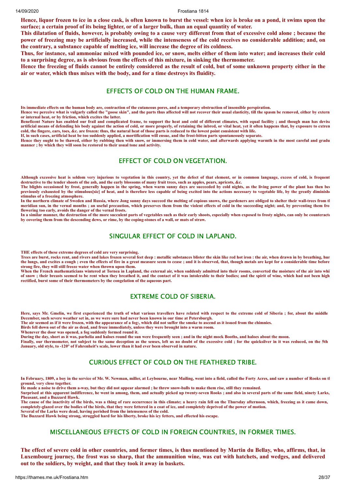Hence, liquor frozen to ice in a close cask, is often known to burst the vessel: when ice is broke on a pond, it swims upon the surface; a certain proof of its being lighter, or of a larger bulk, than an equal quantity of water.

This dilatation of fluids, however, is probably owing to a cause very different from that of excessive cold alone; because the power of freezing may be artificially increased, while the intenseness of the cold receives no considerable addition; and, on **the contrary, a substance capable of melting ice, will increase the degree of its coldness.**

Thus, for instance, sal ammoniac mixed with pounded ice, or snow, melts either of them into water; and increases their cold **to a surprising degree, as is obvious from the effects of this mixture, in sinking the thermometer.**

Hence the freezing of fluids cannot be entirely considered as the result of cold, but of some unknown property either in the **air or water, which thus mixes with the body, and for a time destroys its fluidity.**

# EFFECTS OF COLD ON THE HUMAN FRAME.

**Its immediate effects on the human body are, contraction of the cutaneous pores, and a temporary obstruction of insensible perspiration.**

Hence we perceive what is vulgarly called the "goose skin", and the parts thus affected will not recover their usual elasticity, till the spasm be removed, either by extern **or internal heat, or by friction, which excites the latter.**

**Beneficent Nature has enabled our frail and complicated frame, to support the heat and cold of different climates, with equal facility ; and though man has devise artificial means of defending his body against the action of cold, or more properly, of retaining the inbred, or vital heat, yet it often happens that, by exposure to extrem cold, the fingere, ears, toes, &c. are frozen: thus, the natural heat of those parts is reduced to the lowest point consistent with life.**

**If, in such cases, artificial heat be too suddenly applied, a mortification will ensue, and the frost-bitten parts spontaneously separate.**

**Hence they ought to be thawed, either by rubbing then with snow, or immersing them in cold water, and afterwards applying warmth in the most careful and gradu manner ; by which they will soon be restored to their usual tone and activity.**

# EFFECT OF COLD ON VEGETATION.

**Although excessive heat is seldom very injurious to vegetation in this country, yet the defect of that element, or in common language, excess of cold, is frequent destructive to the tender shoots of the ash, and the early blossoms of many fruit trees, such as apples, pears, apricots, &c.**

**The blights occasioned by frost, generally happen in the spring, when warm sunny days are succeeded by cold nights, as the living power of the plant has then bee** previously exhausted by the stimulous[sic] of heat, and is therefore less capable of being excited into the actions necessary to vegetable life, by the greatly diminisho **stimulus of a freezing atmosphere.**

In the northern climate of Sweden and Russia, where Jong sunny days succeed the melting of copious snows, the gardeners are obliged to shelter their wall-trees from the metal **meridian sun, in the vernal months ; an useful precaution, which preserves them from the violent effects of cold in the succeeding night; and, by preventing them fro flowering too early, avoids the danger of the vernal frosts.**

**In a similar manner, the destruction of the more succulent parts of vegetables such as their early shoots, especially when exposed to frosty nights, can only be counteracte by covering them from the descending dews, or rime, by the coping-stones of a wall, or mats of straw.**

# SINGULAR EFFECT OF COLD IN LAPLAND.

**THE effects of these extreme degrees of cold are very surprising.**

**Trees are burst, rocks rent, and rivers and lakes frozen several feet deep : metallic substances blister the skin like red hot iron : the air, when drawn in by breathing, hur the lungs, and excites a cough ; even the effects of fire in a great measure seem to cease ; and it is observed, that, though metals are kept for a considerable time before strong fire, they will still freeze water when thrown upon them.**

**When the French mathematicians wintered at Tornea in Lapland, the external air, when suddenly admitted into their rooms, converted the moisture of the air into whi of snow ; their breasts seemed to be rent when they breathed it, and the contact of it was intolerable to their bodies; and the spirit of wine, which had not been high rectified, burst some of their thermometers by the congelation of the aqueous part.**

# EXTREME COLD OF SIBERIA.

**Here, says Mr. Gmelin, we first experienced the truth of what various travellers have related with respect to the extreme cold of Siberia ; for, about the middle December, such severe weather set in, as we were sure had never been known in our time at Petersburgh.**

**The air seemed as if it were frozen, with the appearance of a fog:, which did not suffer the smoke to ascend as it issued from the chimnies.**

**Birds fell down out of the air as dead, and froze immediately, unless they were brought into a warm room.**

**Whenever the door was opened, a fog suddenly formed round it.**

**During the day, short as it was, parhelia and haloes round the sun were frequently seen ; and in the night mock Booths, and haloes about the moon.**

**Finally, our thermometer, not subject to the same deception as the senses, left us no doubt of the excessive cold ; for the quicksilver in it was reduced, on the 5th January, old style, to -120° of Fahrenheit's scale, lower than it had ever been observed in nature.**

# CURIOUS EFFECT OF COLD ON THE FEATHERED TRIBE.

**In February, 1809, a boy in the service of Mr. W. Newman, miller, at Leybourne, near Mailing, went into a field, called the Forty Acres, and saw a number of Rooks on th ground, very close together.**

**He made a noise to drive them a-way, but they did not appear alarmed ; he threw snow-balls to make them rise, still they remained. Surprised at this apparent indifference, he went in among, them, and actually picked up twenty-seven Rooks ; and also in several parts of the same field, ninety Larks,**

**Pheasant, and a Buzzard Hawk. The cause of the inactivity of the birds, was a thing of rare occurrence in this climate; a heavy rain fell on the Thursday afternoon, which, freezing as it came down, completely-glazed over the bodies of the birds, that they were fettered in a coat of ice, and completely deprived of the power of motion.**

**Several of the Larks were dead, having perished from the intenseness of the cold.**

**The Buzzard Hawk being strong, struggled hard for his liberty, broke his icy fetters, and effected his escape.**

# MISCELLANEOUS EFFECTS OF COLD IN FOREIGN COUNTRIES, IN FORMER TIMES.

The effect of severe cold in other countries, and former times, is thus mentioned by Martin du Bellay, who, affirms, that, in Luxembourg journey, the frost was so sharp, that the ammunition wine, was cut with hatchets, and wedges, and delivered **out to the soldiers, by weight, and that they took it away in baskets.**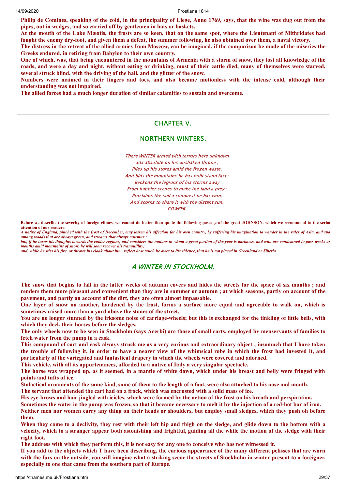Philip de Comines, speaking of the cold, in the principality of Liege, Anno 1769, says, that the wine was dug out from the **pipes, out in wedges, and so carried off by gentlemen in hats or baskets.**

At the mouth of the Lake Mæotis, the frosts are so keen, that on the same spot, where the Lieutenant of Mithridates had fought the enemy dry-foot, and given them a defeat, the summer following, he also obtained over them, a naval victory.

The distress in the retreat of the allied armies from Moscow, can be imagined, if the comparison be made of the miseries the **Greeks endured, in retiring from Babylon to their own country.**

One of which, was, that being encountered in the mountains of Armenia with a storm of snow, they lost all knowledge of the roads, and were a day and night, without eating or drinking, most of their cattle died, many of themselves were starved, **several struck blind, with the driving of the hail, and the glitter of the snow.**

Numbers were maimed in their fingers and toes, and also became motionless with the intense cold, although their **understanding was not impaired.**

**The allied forces had a much longer duration of similar calamities to sustain and overcome.**

# CHAPTER V.

# NORTHERN WINTERS.

There WINTER armed with terrors here unknown Sits absolute on his unshaken throne ; Piles up his stores amid the frozen waste, And bids the mountains he has built stand fast ; Beckons the legions of his storms away From happier scenes to make the land a prey ; Proclaims the soil a conquest he has won, And scorns to share it with the distant sun. **COWPER** 

**Before we describe the severity of foreign climes, we cannot do better than quote the following passage of the great JOHNSON, which we recommend to the seriou attention of our readers:**

*A native of England, pinched with the frost of December, may lessen his affection for his own country, by suffering his imagination to wander in the vales of Asia, and spo among woods that are always green, and streams that always murmur ; but, if he turns his thoughts towards the colder regions, and considers the nations to whom a great portion of the year is darkness, and who are condemned to pass weeks an*

*months amid mountains of snow, he will soon recover his tranquillity;* 

*and, while he stirs his fire, or throws his cloak about him, reflect how much he owes to Providence, that he is not placed in Greenland or Siberia.*

# A WINTER IN STOCKHOLM.

The snow that begins to fall in the latter weeks of autumn covers and hides the streets for the space of six months; and renders them more pleasant and convenient than they are in summer or autumn; at which seasons, partly on account of the **pavement, and partly on account of the dirt, they are often almost impassable.**

One layer of snow on another, hardened by the frost, forms a surface more equal and agreeable to walk on, which is **sometimes raised more than a yard above the stones of the street.**

You are no longer stunned by the irksome noise of carriage-wheels; but this is exchanged for the tinkling of little bells, with **which they deck their horses before the sledges.**

The only wheels now to be seen in Stockholm (says Acerbi) are those of small carts, employed by menservants of families to **fetch water from the pump in a cask.**

This compound of cart and cask always struck me as a very curious and extraordinary object; insomuch that I have taken the trouble of following it, in order to have a nearer view of the whimsical robe in which the frost had invested it, and **particularly of the variegated and fantastical drapery in which the wheels were covered and adorned.**

**This vehicle, with all its appurtenances, afforded to a native of Italy a very singular spectacle.**

The horse was wrapped up, as it seemed, in a mantle of white down, which under his breast and belly were fringed with **points and tufts of ice.**

Stalactical ornaments of the same kind, some of them to the length of a foot, were also attached to his nose and mouth.

The servant that attended the cart had on a frock, which was encrusted with a solid mass of ice.

His eve-brows and hair jingled with icicles, which were formed by the action of the frost on his breath and perspiration.

Sometimes the water in the pump was frozen, so that it became necessary to melt it by the injection of a red-hot bar of iron. Neither men nor women carry any thing on their heads or shoulders, but employ small sledges, which they push oh before **them.**

When they come to a declivity, they rest with their left hip and thigh on the sledge, and glide down to the bottom with a velocity, which to a stranger appear both astonishing and frightful, guiding all the while the motion of the sledge with their **right foot.**

The address with which they perform this, it is not easy for any one to conceive who has not witnessed it.

If you add to the objects which T have been describing, the curious appearance of the many different pelisses that are worn with the furs on the outside, you will imagine what a striking scene the streets of Stockholm in winter present to a foreigner, **especially to one that came from the southern part of Europe.**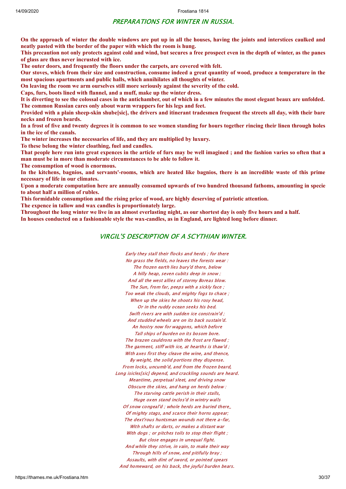# PREPARATIONS FOR WINTER IN RUSSIA.

On the approach of winter the double windows are put up in all the houses, having the joints and interstices caulked and **neatly pasted with the border of the paper with which the room is hung.**

This precaution not only protects against cold and wind, but secures a free prospect even in the depth of winter, as the panes **of glass are thus never incrusted with ice.**

**The outer doors, and frequently the floors under the carpets, are covered with felt.**

Our stoves, which from their size and construction, consume indeed a great quantity of wood, produce a temperature in the **most spacious apartments and public halls, which annihilates all thoughts of winter.**

**On leaving the room we arm ourselves still more seriously against the severity of the cold.**

**Caps, furs, boots lined with flannel, and a muff, make up the winter dress.**

It is diverting to see the colossal cases in the antichamber, out of which in a few minutes the most elegant beaux are unfolded. **The common Russian cares only about warm wrappers for his legs and feet.**

Provided with a plain sheep-skin shube[sic], the drivers and itinerant tradesmen frequent the streets all day, with their bare **necks and frozen beards.**

In a frost of five and twenty degrees it is common to see women standing for hours together rincing their linen through holes **in the ice of the canals.**

**The winter increases the necessaries of life, and they are multiplied by luxury.**

**To these belong the winter cloathing, fuel and candles.**

That people here run into great expences in the article of furs may be well imagined; and the fashion varies so often that a **man must be in more than moderate circumstances to be able to follow it.**

**The consumption of wood is enormous.**

In the kitchens, bagnios, and servants'-rooms, which are heated like bagnios, there is an incredible waste of this prime **necessary of life in our climates.**

Upon a moderate computation here are annually consumed upwards of two hundred thousand fathoms, amounting in specie **to about half a million of rubles.**

**This formidable consumption and the rising price of wood, are highly deserving of patriotic attention.**

**The expence in tallow and wax candles is proportionately large.**

Throughout the long winter we live in an almost everlasting night, as our shortest day is only five hours and a half.

In houses conducted on a fashionable style the wax-candles, as in England, are lighted long before dinner.

# VIRGIL'S DESCRIPTION OF A SCYTHIAN WINTER.

Early they stall their flocks and herds ; for there No grass the fields, no leaves the forests wear : The frozen earth lies bury'd there, below A hilly heap, seven cubits deep in snow ; And all the west allies of stormy Boreas blow. The Sun, from far, peeps with a sickly face ; Too weak the clouds, and mighty fogs to chace ; When up the skies he shoots his rosy head, Or in the ruddy ocean seeks his bed. Swift rivers are with sudden ice constrain'd ; And studded wheels are on its back sustain'd. An hostry now for waggons, which before Tall ships of burden on its bosom bore. The brazen cauldrons with the frost are flawed ; The garment, stiff with ice, at hearths is thaw'd ; With axes first they cleave the wine, and thence, By weight, the solid portions they dispense. From locks, uncumb'd, and from the frozen beard, Long isicles[sic] depend, and crackling sounds are heard. Meantime, perpetual sleet, and driving snow Obscure the skies, and hang on herds below : The starving cattle perish in their stalls, Huge oxen stand inclos'd in wintry walls Of snow congeal'd ; whole herds are buried there\_ Of mighty stags, and scarce their horns appear; The dext'rous huntsman wounds not there a-far, With shafts or darts, or makes a distant war With dogs ; or pitches toils to stop their flight ; But close engages in unequal fight. And while they strive, in vain, to make their way Through hills of snow, and pitifully bray ; Assaults, with dint of sword, or pointed spears And homeward, on his back, the joyful burden bears.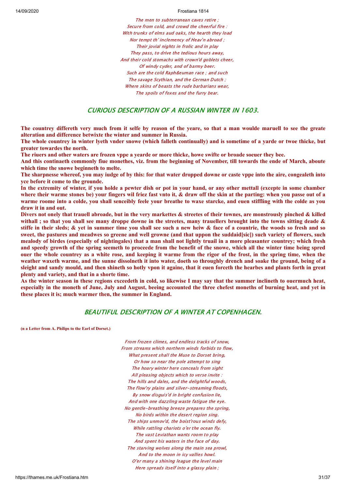The men to subterranean caves retire ; Secure from cold, and crowd the cheerful fire : With trunks of elms aud oaks, the hearth they load Nor tempt th' inclemency of Heav'n abroad ; Their jovial nights in frolic and in play They pass, to drive the tedious hours away, And their cold stomachs with crown'd goblets cheer, Of windy cyder, and of barmy beer. Such are the cold Raph&euman race ; and such The savage Scythian, and the German Dutch ; Where skins of beasts the rude barbarians wear, The spoils of foxes and the furry bear.

# CURIOUS DESCRIPTION OF A RUSSIAN WINTER IN 1603.

The countrey differeth very much from it selfe by reason of the yeare, so that a man woulde maruell to see the greate **alteration and difference betwixte the winter and summer in Russia.**

The whole countrey in winter lyeth vnder snowe (which falleth continually) and is sometime of a varde or twoe thicke, but **greater towardes the north.**

The riuers and other waters are frozen vppe a vearde or more thicke, howe swifte or broade soeuer they bee.

And this continaeth commonly fiue monethes, viz. from the beginning of November, till towards the ende of March, aboute **which time the snowe beginneth to melte.**

The sharpnesse whereof, you may judge of by this: for that water dropped downe or caste vppe into the aire, congealeth into **yce before it come to the grounde.**

In the extremity of winter, if you holde a pewter dish or pot in your hand, or any other mettall (excepte in some chamber where their warme stones be) your fingers wil friez fast vnto it,  $\&$  draw off the skin at the parting: when you passe out of a warme roome into a colde, you shall senceibly feele your breathe to waxe starcke, and euen stiffling with the colde as you **draw it in and out.**

Divers not onely that trauell abroade, but in the very markettes & streetes of their townes, are monstrously pinched & killed withall; so that you shall see many droppe downe in the streetes, many trauellers brought into the towns sitting deade  $\&$ stiffe in their sleds; & yet in summer time you shall see such a new heiw & face of a countrie, the woods so fresh and so sweet, the pastures and meadwes so greene and well growne (and that uppon the suddaid(sic)) such variety of flowers, such mealody of birdes (especially of nightingales) that a man shall not lightly truail in a more pleasanter countrey; which fresh and speedy growth of the spring seemeth to proceede from the benefit of the snowe, which all the winter time being spred ouer the whole countrey as a white rose, and keeping it warme from the rigor of the frost, in the spring time, when the weather waxeth warme, and the sunne dissolneth it into water, doeth so throughly drench and soake the ground, being of a sleight and sandy mould, and then shineth so hotly vpon it againe, that it euen forceth the hearbes and plants forth in great **plenty and variety, and that in a shorte time.**

As the winter season in these regions exceedeth in cold, so likewise I may say that the summer inclineth to ouermuch heat, especially in the moneth of June, July and August, beeing accounted the three chefest moneths of burning heat, and yet in **these places it is; much warmer then, the summer in England.**

# BEAUTIFUL DESCRIPTION OF A WINTER AT COPENHAGEN.

**(n a Letter from A. Philips to the Earl of Dorset.)**

From frozen climes, and endless tracks of snow, From streams which northern winds forbids to flow, What present shall the Muse to Dorset bring, Or how so near the pole attempt to sing The hoary winter here conceals from sight All pleasing objects which to verse invite : The hills and dales, and the delightful woods, The flow'ry plains and silver-streaming floods, By snow disguis'd in bright confusion lie, And with one dazzling waste fatigue the eye. No gentle-breathing breeze prepares the spring, No birds within the desert region sing. The ships unmov'd, the boist'rous winds defy, While rattling chariots o'er the ocean fly. The vast Leviathan wants room to play And spent his waters in the face of day. The starving wolves along the main sea prowl, And to the moon in icy vallies howl. O'er many a shining league the level main Here spreads itself into a glassy plain ;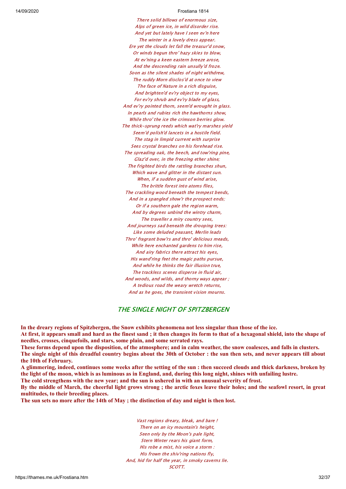There solid billows of enormous size, Alps of green ice, in wild disorder rise. And yet but lately have I seen ev'n here The winter in a lovely dress appear. Ere yet the clouds let fall the treasur'd snow, Or winds begun thro' hazy skies to blow, At ev'ning a keen eastern breeze arose, And the descending rain unsully'd froze. Soon as the silent shades of night withdrew, The ruddy Morn disclos'd at once to view The face of Nature in a rich disguise, And brighten'd ev'ry object to my eyes, For ev'ry shrub and ev'ry blade of glass, And ev'ry pointed thorn, seem'd wrought in glass. In pearls and rubies rich the hawthorns show, While thro' the ice the crimson berries glow. The thick-sprung reeds which wat'ry marshes yield Seem'd polish'd lancets in a hostile field. The stag in limpid current with surprise Sees crystal branches on his forehead rise. The spreading oak, the beech, and tow'ring pine, Glaz'd over, in the freezing ether shine; The frighted birds the rattling branches shun, Which wave and glitter in the distant sun. When, if a sudden gust of wind arise, The brittle forest into atoms flies, The crackling wood beneath the tempest bends, And in a spangled show'r the prospect ends; Or if a southern gale the region warm, And by degrees unbind the wintry charm, The traveller a miry country sees, And journeys sad beneath the drooping trees: Like some deluded peasant, Merlin leads Thro' fragrant bow'rs and thro' delicious meads, While here enchanted gardens to him rise, And airy fabrics there attract his eyes, His wand'ring feet the magic paths pursue, And while he thinks the fair illusion true, The trackless scenes disperse in fluid air, And woods, and wilds, and thorny ways appear ; A tedious road the weary wretch returns, And as he goes, the transient vision mourns.

# THE SINGLE NIGHT OF SPITZBERGEN

In the dreary regions of Spitzbergen, the Snow exhibits phenomena not less singular than those of the ice. At first, it appears small and hard as the finest sand; it then changes its form to that of a hexagonal shield, into the shape of **needles, crosses, cinquefoils, and stars, some plain, and some serrated rays.**

These forms depend upon the disposition, of the atmosphere; and in calm weather, the snow coalesces, and falls in clusters. The single night of this dreadful country begins about the 30th of October : the sun then sets, and never appears till about **the 10th of February.**

A glimmering, indeed, continues some weeks after the setting of the sun : then succeed clouds and thick darkness, broken by the light of the moon, which is as luminous as in England, and, during this long night, shines with unfailing lustre.

The cold strengthens with the new year; and the sun is ushered in with an unusual severity of frost.

By the middle of March, the cheerful light grows strong; the arctic foxes leave their holes; and the seafowl resort, in great **multitudes, to their breeding places.**

The sun sets no more after the 14th of May; the distinction of day and night is then lost.

Vast regions dreary, bleak, and bare ! There on an icy mountain's height, Seen only by the Moon's pale light, Stern Winter rears his giant form, His robe a mist, his voice a storm : His frown the shiv'ring nations fly, And, hid for half the year, in smoky caverns lie. SCOTT.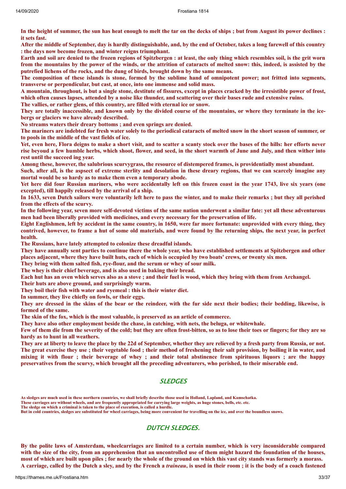In the height of summer, the sun has heat enough to melt the tar on the decks of ships ; but from August its power declines : **it sets fast.**

After the middle of September, day is hardly distinguishable, and, by the end of October, takes a long farewell of this country **: the days now become frozen, and winter reigns triumphant.**

Earth and soil are denied to the frozen regions of Spitzbergen : at least, the only thing which resembles soil, is the grit worn from the mountains by the power of the winds, or the attrition of cataracts of melted snow: this, indeed, is assisted by the **putrefied lichens of the rocks, and the dung of birds, brought down by the same means.**

The composition of these islands is stone, formed by the sublime hand of omnipotent power; not fritted into segments, **transverse or perpendicular, but cast, at once, into one immense and solid mass.**

A mountain, throughout, is but a single stone, destitute of fissures, except in places cracked by the irresistible power of frost, which often causes lapses, attended by a noise like thunder, and scattering over their bases rude and extensive ruins.

**The vallies, or rather glens, of this country, are filled with eternal ice or snow.**

They are totally inaccessible, and known only by the divided course of the mountains, or where they terminate in the ice**bergs or glaciers we have already described.**

**No streams waters their dreary bottoms ; and even springs are denied.**

The mariners are indebted for fresh water solely to the periodical cataracts of melted snow in the short season of summer, or **to pools in the middle of the vast fields of ice.**

Yet, even here, Flora deigns to make a short visit, and to scatter a scanty stock over the bases of the hills: her efforts never rise beyoud a few humble herbs, which shoot, flower, and seed, in the short warmth of June and July, and then wither into **rest until the succeed ing year.**

**Among these, however, the salubrious scurvygrass, the resource of distempered frames, is providentially most abundant.**

Such, after all, is the aspsect of extreme sterlity and desolation in these dreary regions, that we can scarcely imagine any **mortal would be so hardy as to make them even a temporary abode.**

Yet here did four Russian mariners, who were accidentally left on this frozen coast in the year 1743, live six years (one **excepted), till happily released by the arrival of a ship.**

In 1633, seven Dutch sailors were voluntarily left here to pass the winter, and to make their remarks; but they all perished **from the effects of the scurvy.**

In the following year, seven more self-devoted victims of the same nation underwent a similar fate: yet all these adventurous **men had been liberally provided with medicines, and every necessary for the preservation of life.**

Eight Englishmen, left by accident in the same country, in 1650, were far more fortunate: unprovided with every thing, they contrived, however, to frame a hut of some old materials, and were found by lhe returning ships, the next year, in perfect **health.**

**The Russians, have lately attempted to colonize these dreadful islands.**

They have annually sent parties to continue there the whole year, who have established settlements at Spitzbergen and other places adjacent, where they have built huts, each of which is occupied by two boats' crews, or twenty six men.

**They bring with them salted fish, rye-flour, and the serum or whey of sour milk.**

**The whey is their chief beverage, and is also used in baking their bread.**

Each hut has an oven which serves also as a stove ; and their fuel is wood, which they bring with them from Archangel. **Their huts are above ground, and surprisingly warm.**

**They boil their fish with water and ryemeal : this is their winter diet.**

**In summer, they live chiefly on fowls, or their eggs.**

They are dressed in the skins of the bear or the reindeer, with the fur side next their bodies; their bedding, likewise, is **formed of the same.**

**The skin of the fox, which is the most valuable, is preserved as an article of commerce.**

**They have also other employment beside the chase, in catching, with nets, the beluga, or whitewhale.**

Few of them die from the severity of the cold; but they are often frost-bitten, so as to lose their toes or fingers; for they are so **hardy as to hunt in all weathers.**

They are at liberty to leave the place by the 22d of September, whether they are relieved by a fresh party from Russia, or not. The great exercise they use; their vegetable food; their method of freshening their salt provision, by boiling it in water, aud mixing it with flour; their beverage of whey; and their total abstinence from spirituous liquors; are the happy preservatives from the scurvy, which brought all the preceding adventurers, who perished, to their miserable end.

# **SLEDGES**

**As sledges are much used in these northern countries, we shall briefly describe those used in Holland, Lapland, and Kamschatka.**

**These carriages are without wheels, and are frequently appropriated for carrying large weights, as huge stones, bells, etc. etc.**

**The sledge on which a criminal is taken to the place of execution, is called a hurdle.**

**But in cold countries, sledges are substituted for wheel carriages, being more convenient for travelling on the ice, and over the boundless snows.**

# DUTCH SLEDGES.

By the polite laws of Amsterdam, wheelcarriages are limited to a certain number, which is very inconsiderable compared with the size of the city, from an apprehension that an uncontrolled use of them might hazard the foundation of the houses, most of which are built upon piles; for nearly the whole of the ground on which this vast city stands was formerly a morass. A carriage, called by the Dutch a sley, and by the French a *traineau*, is used in their room; it is the body of a coach fastened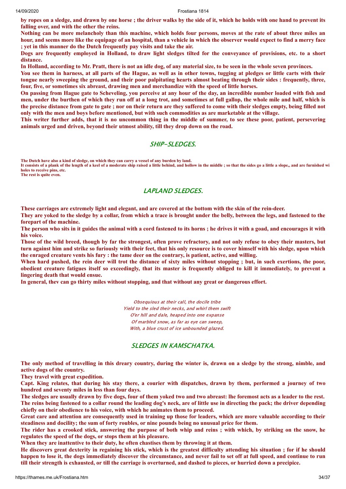by ropes on a sledge, and drawn by one horse; the driver walks by the side of it, which he holds with one hand to prevent its **falling over, and with the other the reins.**

Nothing can be more melancholy than this machine, which holds four persons, moves at the rate of about three miles an hour, and seems more like the equipage of an hospital, than a vehicle in which the observer would expect to find a merry face **; yet in this manner do the Dutch frequently pay visits and take the air.**

Dogs are frequently employed in Holland, to draw light sledges tilted for the conveyance of provisions, etc. to a short **distance.**

In Holland, according to Mr. Pratt, there is not an idle dog, of any material size, to be seen in the whole seven provinces.

You see them in harness, at all parts of the Hague, as well as in other towns, tugging at pledges or little carts with their tongue nearly sweeping the ground, and their poor palpitating hearts almost beating through their sides: frequently, three, **four, five, or sometimes six abreast, drawing men and merchandize with the speed of little horses.**

On passing from Hague gate to Scheveling, you perceive at any hour of the day, an incredible number loaded with fish and men, under the burthen of which they run off at a long trot, and sometimes at full gallop, the whole mile and half, which is the precise distance from gate to gate; nor on their return are they suffered to come with their sledges empty, being filled not only with the men and boys before mentioned, but with such commodities as are marketable at the village.

This writer further adds, that it is no uncommon thing in the middle of summer, to see these poor, patient, persevering **animals urged and driven, beyond their utmost ability, till they drop down on the road.**

# SHIP-SLEDGES.

**The Dutch have also a kind of sledge, on which they can carry a vessel of any burden by land.**

**It consists of a plank of the length of a keel of a moderate ship raised a little behind, and hollow in the middle ; so that the sides go a little a slope,, and are furnished wi holes to receive pins, etc. The rest is quite even.**

### LAPLAND SLEDGES.

These carriages are extremely light and elegant, and are covered at the bottom with the skin of the rein-deer.

They are voked to the sledge by a collar, from which a trace is brought under the belly, between the legs, and fastened to the **forepart of the machine.**

The person who sits in it guides the animal with a cord fastened to its horns; he drives it with a goad, and encourages it with **his voice.**

Those of the wild breed, though by far the strongest, often prove refractory, and not only refuse to obey their masters, but turn against him and strike so furiously with their feet, that his only resource is to cover himself with his sledge, upon which the enraged creature vents his fury: the tame deer on the contrary, is patient, active, and willing.

When hard pushed, the rein deer will trot the distance of sixty miles without stopping; but, in such exertions, the poor, obedient creature fatigues itself so exceedingly, that its master is frequently obliged to kill it immediately, to prevent a **lingering death that would ensue.**

**In general, thev can go thirty miles without stopping, and that without any great or dangerous effort.**

Obsequious at their call, the docile tribe Yield to the sled their necks, and whirl them swift O'er hill and dale, heaped into one expanse Of marbled snow, as far as eye can sweep, With, a blue crust of ice unbounded glazed.

# SLEDGES IN KAMSCHATKA.

The only method of travelling in this dreary country, during the winter is, drawn on a sledge by the strong, nimble, and **active dogs of the country.**

**They travel with great expedition.**

Capt. King relates, that during his stay there, a courier with dispatches, drawn by them, performed a journey of two **hundred and seventy miles in less than four days.**

The sledges are usually drawn by five dogs, four of them yoked two and two abreast: lhe foremost acts as a leader to the rest. The reins being fastened to a collar round the leading dog's neck, are of little use in directing the pack; the driver depending **chiefly on their obedience to his voice, with which he animates them to proceed.**

Great care and attention are consequently used in training up those for leaders, which are more valuable according to their **steadiness and docility; the sum of forty roubles, or nine pounds being no unusual price for them.**

The rider has a crooked stick, answering the purpose of both whip and reins; with which, by striking on the snow, he **regulates the speed of the dogs, or stops them at his pleasure.**

**When they are inattentive to their duty, he often chastises them by throwing it at them.**

He discovers great dexterity in regaining his stick, which is the greatest difficulty attending his situation; for if he should happen to lose it, the dogs immediately discover the circumstance, and never fail to set off at full speed, and continue to run till their strength is exhausted, or till the carriage is overturned, and dashed to pieces, or hurried down a precipice.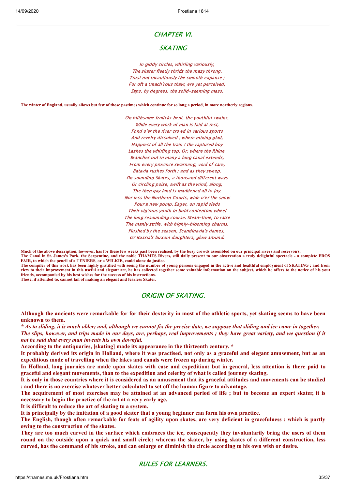# CHAPTER VI.

# **SKATING**

In giddy circles, whirling variously, The skater fleetly thrids the mazy throng. Trust not incautiously the smooth expanse ; For oft a treach'rous thaw, ere yet perceived, Saps, by degrees, the solid-seeming mass.

**The winter of England, usually allows but few of those pastimes which continue for so long a period, in more northerly regions.**

On blithsome frolicks bent, the youthful swains, While every work of man is laid at rest, Fond o'er the river crowd in various sports And revelry dissolved ; where mixing glad, Happiest of all the train ! the raptured boy Lashes the whirling top. Or, where the Rhine Branches out in many a long canal extends, From every province swarming, void of care, Batavia rushes forth ; and as they sweep, On sounding Skates, a thousand different ways Or circling poise, swift as the wind, along, The then gay land is maddened all to joy. Nor less the Northern Courts, wide o'er the snow Pour a new pomp. Eager, on rapid sleds Their vig'rous youth in bold contention wheel The long resounding course. Mean-time, to raise The manly strife, with highly-blooming charms, Flushed by the season, Scandinavia's dames, Or Russia's buxom daughters, glow around.

**Much of the above description, however, has for these few weeks past been realised, by the busy crowds assembled on our principal rivers and reservoirs. The Canal in St. James's Park, the Serpentine, and the noble THAMES Rivers, still daily present to our observation a truly delightful spectacle - a complete FROS FAIR, to which the pencil of a TENIERS, or a WILKIE, could alone do justice.**

**The compiler of this work has been highly gratified with seeing the number of young persons engaged in the active and healthful employment of SKATING ; and from view to their improvement in this useful and elegant art, he has collected together some valuable information on the subject, which he offers to the notice of his youn friends, accompanied by his best wishes for the success of his instructions. These, if attended to, cannot fail of making an elegant and fearless Skater.**

# ORIGIN OF SKATING.

Although the ancients were remarkable for for their dexterity in most of the athletic sports, yet skating seems to have been **unknown to them.**

\* As to sliding, it is much older; and, although we cannot fix the precise date, we suppose that sliding and ice came in together. The slips, however, and trips made in our days, are, perhaps, real improvements; they have great variety, and we question if it *not be said that every man invents his own downfal.*

**According to the antiquaries, [skating] made its appearance in the thirteenth century. \***

It probably derived its origin in Holland, where it was practised, not only as a graceful and elegant amusement, but as an **expeditious mode of travelling when the lakes and canals were frozen up during winter.**

In Holland, long journies are made upon skates with ease and expedition; but in general, less attention is there paid to **graceful and elegant movements, than to the expedition and celerity of what is called journey skating.**

It is only in those countries where it is considered as an amusement that its graceful attitudes and movements can be studied **; and there is no exercise whatever better calculated to set off the human figure to advantage.**

The acquirement of most exercises may be attained at an advanced period of life; but to become an expert skater, it is **necessary to begin the practice of the art at a very early age.**

**It is difficult to reduce the art of skating to a system.**

It is principally by the imitation of a good skater that a young beginner can form his own practice.

The English, though often remarkable for feats of agility upon skates, are very deficient in gracefulness; which is partly **owing to the construction of the skates.**

They are too much curved in the surface which embraces the ice, consequently they involuntarily bring the users of them round on the outside upon a quick and small circle; whereas the skater, by using skates of a different construction, less curved, has the command of his stroke, and can enlarge or diminish the circle according to his own wish or desire.

# RULES FOR LEARNERS.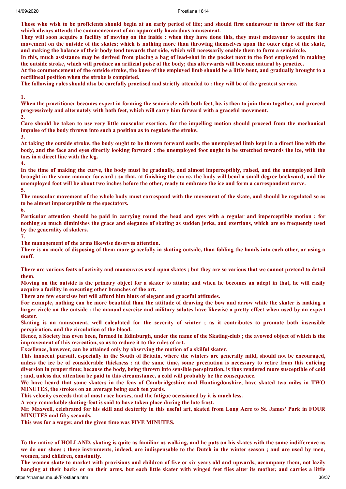Those who wish to be proficients should begin at an early period of life; and should first endeavour to throw off the fear **which always attends the commencement of an apparently hazardous amusement.**

They will soon acquire a facility of moving on the inside : when they have done this, they must endeavour to acquire the movement on the outside of the skates; which is nothing more than throwing themselves upon the outer edge of the skate, and making the balance of their body tend towards that side, which will necessarily enable them to form a semicircle.

In this, much assistance may be derived from placing a bag of lead-shot in the pocket next to the foot employed in making the outside stroke, which will produce an arificial poise of the body; this afterwards will become natural by practice.

At the commencement of the outside stroke, the knee of the employed limb should be a little bent, and gradually brought to a **rectilineal position when the stroke is completed.**

The following rules should also be carefully practised and strictly attended to: they will be of the greatest service.

#### **1.**

When the practitioner becomes expert in forming the semicircle with both feet, he, is then to join them together, and proceed **progressively and alternately with both feet, which will carry him forward with a graceful movement.**

**2.**

Care should be taken to use very little muscular exertion, for the impelling motion should proceed from the mechanical **impulse of the body thrown into such a position as to regulate the stroke,**

**3.**

At taking the outside stroke, the body ought to be thrown forward easily, the unemployed limb kept in a direct line with the body, and the face and eves directly looking forward : the unemploved foot ought to be stretched towards the ice, with the **toes in a direct line with the leg.**

**4.**

In the time of making the curve, the body must be gradually, and almost imperceptibly, raised, and the unemployed limb brought in the same manner forward : so that, at finishing the curve, the body will bend a small degree backward, and the unemploved foot will be about two inches before the other, ready to embrace the ice and form a correspondent curve.

#### **5.**

The muscular movement of the whole body must correspond with the movement of the skate, and should be regulated so as **to be almost imperceptible to the spectators.**

**6.**

Particular attention should be paid in carrying round the head and eves with a regular and imperceptible motion; for nothing so much diminishes the grace and elegance of skating as sudden jerks, and exertions, which are so frequently used **by the generality of skalers.**

**7.**

**The management of the arms likewise deserves attention.**

There is no mode of disposing of them more gracefully in skating outside, than folding the hands into each other, or using a **muff.**

There are various feats of activity and manœuvres used upon skates; but they are so various that we cannot pretend to detail **them.**

Moving on the outside is the primary object for a skater to attain; and when he becomes an adept in that, he will easily **acquire a facility in executing other branches of the art.**

**There are few exercises but will afford him hints of elegant and graceful attitudes.**

For example, nothing can be more beautiful than the attitude of drawing the bow and arrow while the skater is making a larger circle on the outside : the manual exercise and military salutes have likewise a pretty effect when used by an expert **skater.**

Skating is an amusement, well calculated for the severity of winter; as it contributes to promote both insensible **perspiration, and the circulation of the blood.**

Hence, a Society has even been, formed in Edinburgh, under the name of the Skating-club; the avowed object of which is the **improvement of this recreation, so as to reduce it to the rules of art.**

**Excellence, however, can be attained only by observing the motion of a skilful skater.**

This innocent pursuit, especially in the South of Britain, where the winters are generally mild, should not be encouraged, unless the ice be of considerable thickness: at the same time, some precaution is necessary to retire from this enticing diversion in proper time; because the body, being thrown into sensible perspiration, is thus rendered more susceptible of cold **; and, unless due attention be paid to this circumstance, a cold will probably be the consequence.**

We have heard that some skaters in the fens of Cambridgeshire and Huntingdonshire, have skated two miles in TWO **MINUTES, the strokes on an average being each ten yards.**

**This velocity exceeds that of most race horses, and the fatigue occasioned by it is much less.**

**A very remarkable skating-feat is said to have taken place during the late frost.**

Mr. Maxwell, celebrated for his skill and dexterity in this useful art, skated from Long Acre to St. James' Park in FOUR **MINUTES and fifty seconds.**

**This was for a wager, and the given time was FIVE MINUTES.**

To the native of HOLLAND, skating is quite as familiar as walking, and he puts on his skates with the same indifference as we do our shoes; these instruments, indeed, are indispensable to the Dutch in the winter season; and are used by men, **women, and children, constantly.**

The women skate to market with provisions and children of five or six years old and upwards, accompany them, not lazily hanging at their backs or on their arms, but each little skater with winged feet flies alter its mother, and carries a little

https://thames.me.uk/Frostiana.htm 36/37